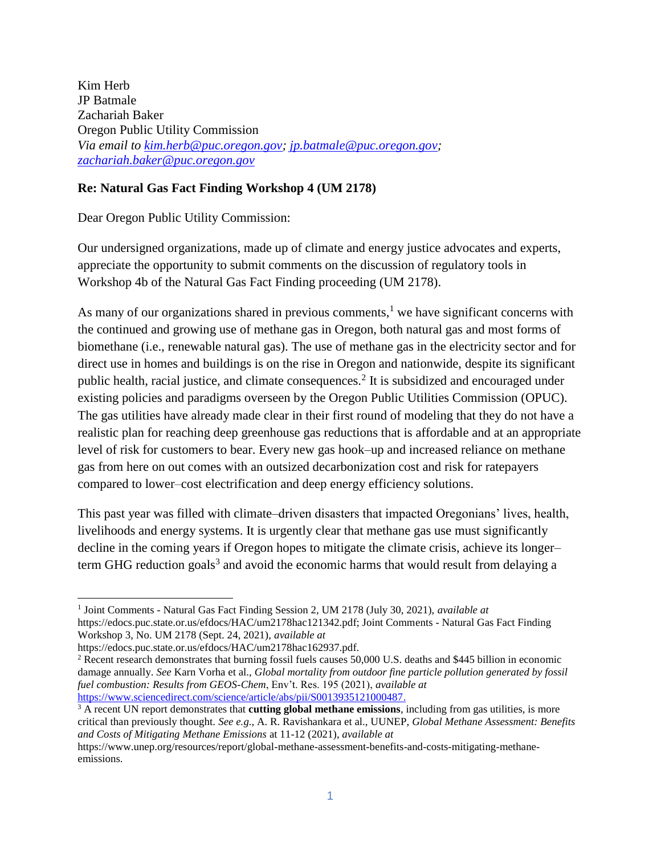Kim Herb JP Batmale Zachariah Baker Oregon Public Utility Commission *Via email to [kim.herb@puc.oregon.gov;](mailto:kim.herb@puc.oregon.gov) [jp.batmale@puc.oregon.gov;](mailto:jp.batmale@puc.oregon.gov) [zachariah.baker@puc.oregon.gov](mailto:zachariah.baker@puc.oregon.gov)*

#### **Re: Natural Gas Fact Finding Workshop 4 (UM 2178)**

Dear Oregon Public Utility Commission:

Our undersigned organizations, made up of climate and energy justice advocates and experts, appreciate the opportunity to submit comments on the discussion of regulatory tools in Workshop 4b of the Natural Gas Fact Finding proceeding (UM 2178).

As many of our organizations shared in previous comments,<sup>1</sup> we have significant concerns with the continued and growing use of methane gas in Oregon, both natural gas and most forms of biomethane (i.e., renewable natural gas). The use of methane gas in the electricity sector and for direct use in homes and buildings is on the rise in Oregon and nationwide, despite its significant public health, racial justice, and climate consequences.<sup>2</sup> It is subsidized and encouraged under existing policies and paradigms overseen by the Oregon Public Utilities Commission (OPUC). The gas utilities have already made clear in their first round of modeling that they do not have a realistic plan for reaching deep greenhouse gas reductions that is affordable and at an appropriate level of risk for customers to bear. Every new gas hook–up and increased reliance on methane gas from here on out comes with an outsized decarbonization cost and risk for ratepayers compared to lower–cost electrification and deep energy efficiency solutions.

This past year was filled with climate–driven disasters that impacted Oregonians' lives, health, livelihoods and energy systems. It is urgently clear that methane gas use must significantly decline in the coming years if Oregon hopes to mitigate the climate crisis, achieve its longer– term GHG reduction goals<sup>3</sup> and avoid the economic harms that would result from delaying a

 $\overline{a}$ 

<sup>1</sup> Joint Comments - Natural Gas Fact Finding Session 2, UM 2178 (July 30, 2021), *available at*  https://edocs.puc.state.or.us/efdocs/HAC/um2178hac121342.pdf; Joint Comments - Natural Gas Fact Finding Workshop 3, No. UM 2178 (Sept. 24, 2021), *available at* 

https://edocs.puc.state.or.us/efdocs/HAC/um2178hac162937.pdf.

<sup>&</sup>lt;sup>2</sup> Recent research demonstrates that burning fossil fuels causes 50,000 U.S. deaths and \$445 billion in economic damage annually. *See* Karn Vorha et al., *Global mortality from outdoor fine particle pollution generated by fossil fuel combustion: Results from GEOS-Chem*, Env't. Res. 195 (2021)[,](https://www.seas.harvard.edu/news%20/2021/02/deaths-fossil-fuel-emissions-higher-previously-thought) *[available at](https://www.seas.harvard.edu/news%20/2021/02/deaths-fossil-fuel-emissions-higher-previously-thought)*  [https://www.sciencedirect.com/science/article/abs/pii/S0013935121000487.](https://www.sciencedirect.com/science/article/abs/pii/S0013935121000487)

<sup>3</sup> A recent UN report demonstrates that **cutting global methane emissions**, including from gas utilities, is more critical than previously thought. *See e.g.,* A. R. Ravishankara et al., UUNEP, *Global Methane Assessment: Benefits and Costs of Mitigating Methane Emissions* at 11-12 (2021), *available at* 

https://www.unep.org/resources/report/global-methane-assessment-benefits-and-costs-mitigating-methaneemissions.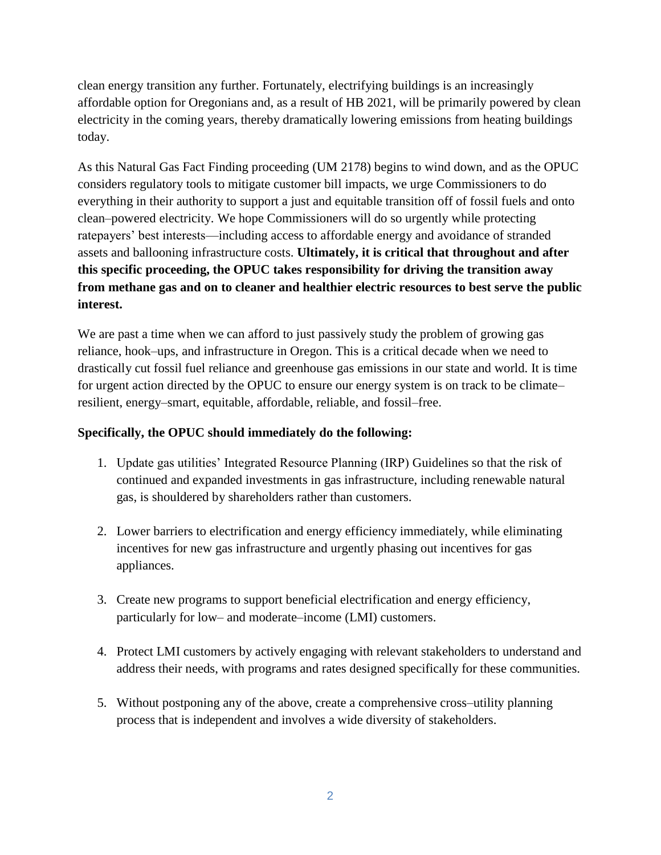clean energy transition any further. Fortunately, electrifying buildings is an increasingly affordable option for Oregonians and, as a result of HB 2021, will be primarily powered by clean electricity in the coming years, thereby dramatically lowering emissions from heating buildings today.

As this Natural Gas Fact Finding proceeding (UM 2178) begins to wind down, and as the OPUC considers regulatory tools to mitigate customer bill impacts, we urge Commissioners to do everything in their authority to support a just and equitable transition off of fossil fuels and onto clean–powered electricity. We hope Commissioners will do so urgently while protecting ratepayers' best interests—including access to affordable energy and avoidance of stranded assets and ballooning infrastructure costs. **Ultimately, it is critical that throughout and after this specific proceeding, the OPUC takes responsibility for driving the transition away from methane gas and on to cleaner and healthier electric resources to best serve the public interest.** 

We are past a time when we can afford to just passively study the problem of growing gas reliance, hook–ups, and infrastructure in Oregon. This is a critical decade when we need to drastically cut fossil fuel reliance and greenhouse gas emissions in our state and world. It is time for urgent action directed by the OPUC to ensure our energy system is on track to be climate– resilient, energy–smart, equitable, affordable, reliable, and fossil–free.

## **Specifically, the OPUC should immediately do the following:**

- 1. Update gas utilities' Integrated Resource Planning (IRP) Guidelines so that the risk of continued and expanded investments in gas infrastructure, including renewable natural gas, is shouldered by shareholders rather than customers.
- 2. Lower barriers to electrification and energy efficiency immediately, while eliminating incentives for new gas infrastructure and urgently phasing out incentives for gas appliances.
- 3. Create new programs to support beneficial electrification and energy efficiency, particularly for low– and moderate–income (LMI) customers.
- 4. Protect LMI customers by actively engaging with relevant stakeholders to understand and address their needs, with programs and rates designed specifically for these communities.
- 5. Without postponing any of the above, create a comprehensive cross–utility planning process that is independent and involves a wide diversity of stakeholders.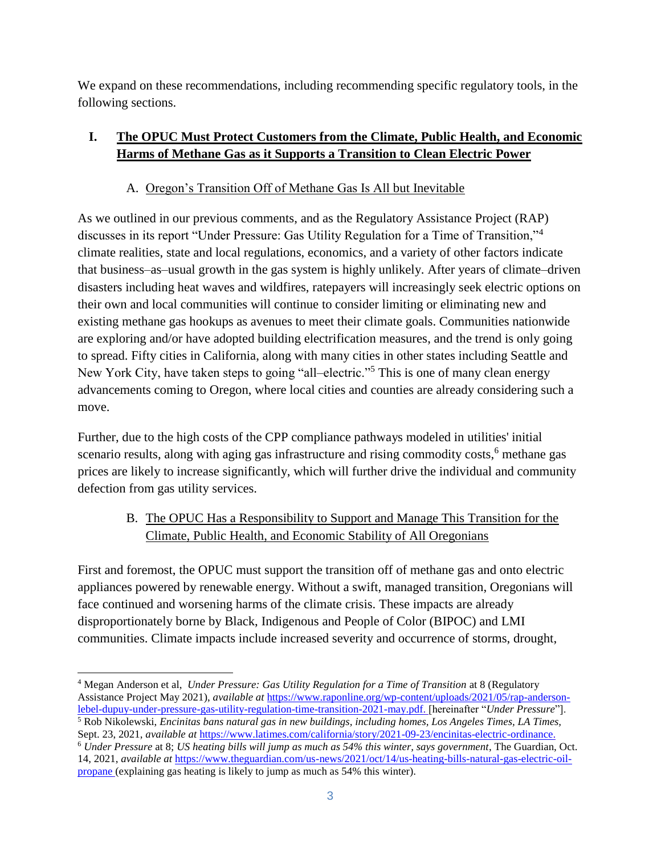We expand on these recommendations, including recommending specific regulatory tools, in the following sections.

# **I. The OPUC Must Protect Customers from the Climate, Public Health, and Economic Harms of Methane Gas as it Supports a Transition to Clean Electric Power**

## A. Oregon's Transition Off of Methane Gas Is All but Inevitable

As we outlined in our previous comments, and as the Regulatory Assistance Project (RAP) discusses in its report "Under Pressure: Gas Utility Regulation for a Time of Transition,"<sup>4</sup> climate realities, state and local regulations, economics, and a variety of other factors indicate that business–as–usual growth in the gas system is highly unlikely. After years of climate–driven disasters including heat waves and wildfires, ratepayers will increasingly seek electric options on their own and local communities will continue to consider limiting or eliminating new and existing methane gas hookups as avenues to meet their climate goals. Communities nationwide are exploring and/or have adopted building electrification measures, and the trend is only going to spread. Fifty cities in California, along with many cities in other states including Seattle and New York City, have taken steps to going "all–electric."<sup>5</sup> This is one of many clean energy advancements coming to Oregon, where local cities and counties are already considering such a move.

Further, due to the high costs of the CPP compliance pathways modeled in utilities' initial scenario results, along with aging gas infrastructure and rising commodity costs,<sup>6</sup> methane gas prices are likely to increase significantly, which will further drive the individual and community defection from gas utility services.

# B. The OPUC Has a Responsibility to Support and Manage This Transition for the Climate, Public Health, and Economic Stability of All Oregonians

First and foremost, the OPUC must support the transition off of methane gas and onto electric appliances powered by renewable energy. Without a swift, managed transition, Oregonians will face continued and worsening harms of the climate crisis. These impacts are already disproportionately borne by Black, Indigenous and People of Color (BIPOC) and LMI communities. Climate impacts include increased severity and occurrence of storms, drought,

 $\overline{a}$ <sup>4</sup> Megan Anderson et al, *Under Pressure: Gas Utility Regulation for a Time of Transition* at 8 (Regulatory Assistance Project May 2021), *available at* [https://www.raponline.org/wp-content/uploads/2021/05/rap-anderson](https://www.raponline.org/wp-content/uploads/2021/05/rap-anderson-lebel-dupuy-under-pressure-gas-utility-regulation-time-transition-2021-may.pdf)[lebel-dupuy-under-pressure-gas-utility-regulation-time-transition-2021-may.pdf.](https://www.raponline.org/wp-content/uploads/2021/05/rap-anderson-lebel-dupuy-under-pressure-gas-utility-regulation-time-transition-2021-may.pdf) [hereinafter "*Under Pressure*"].

<sup>5</sup> Rob Nikolewski, *Encinitas bans natural gas in new buildings, including homes, Los Angeles Times, LA Times,*  Sept. 23[,](https://www.latimes.com/california/story/2021-09-23/encinitas-electric-ordinance) 2021, *[available at](https://www.latimes.com/california/story/2021-09-23/encinitas-electric-ordinance) [https://www.latimes.com/california/story/2021-09-23/encinitas-electric-ordinance.](https://www.latimes.com/california/story/2021-09-23/encinitas-electric-ordinance)* <sup>6</sup> *Under Pressure* at 8; *US heating bills will jump as much as 54% this winter, says government*, The Guardian, Oct.

<sup>14, 2021,</sup> *available at* [https://www.theguardian.com/us-news/2021/oct/14/us-heating-bills-natural-gas-electric-oil](https://www.theguardian.com/us-news/2021/oct/14/us-heating-bills-natural-gas-electric-oil-propane)[propane](https://www.theguardian.com/us-news/2021/oct/14/us-heating-bills-natural-gas-electric-oil-propane) (explaining gas heating is likely to jump as much as 54% this winter).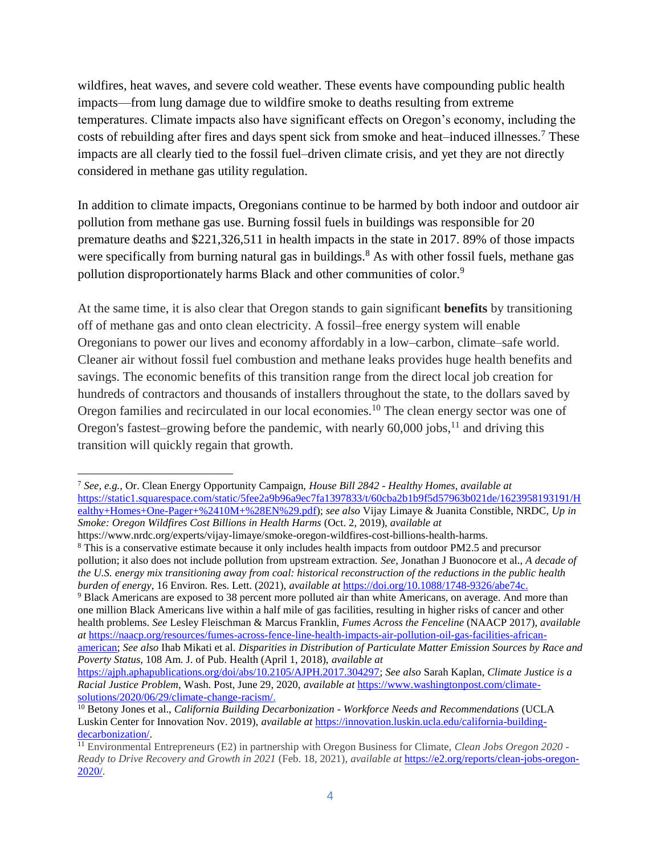wildfires, heat waves, and severe cold weather. These events have compounding public health impacts—from lung damage due to wildfire smoke to deaths resulting from extreme temperatures. Climate impacts also have significant effects on Oregon's economy, including the costs of rebuilding after fires and days spent sick from smoke and heat–induced illnesses.<sup>7</sup> These impacts are all clearly tied to the fossil fuel–driven climate crisis, and yet they are not directly considered in methane gas utility regulation.

In addition to climate impacts, Oregonians continue to be harmed by both indoor and outdoor air pollution from methane gas use. Burning fossil fuels in buildings was responsible for 20 premature deaths and \$221,326,511 in health impacts in the state in 2017. 89% of those impacts were specifically from burning natural gas in buildings.<sup>8</sup> As with other fossil fuels, methane gas pollution disproportionately harms Black and other communities of color.<sup>9</sup>

At the same time, it is also clear that Oregon stands to gain significant **benefits** by transitioning off of methane gas and onto clean electricity. A fossil–free energy system will enable Oregonians to power our lives and economy affordably in a low–carbon, climate–safe world. Cleaner air without fossil fuel combustion and methane leaks provides huge health benefits and savings. The economic benefits of this transition range from the direct local job creation for hundreds of contractors and thousands of installers throughout the state, to the dollars saved by Oregon families and recirculated in our local economies.<sup>10</sup> The clean energy sector was one of Oregon's fastest–growing before the pandemic, with nearly  $60,000$  jobs,<sup>11</sup> and driving this transition will quickly regain that growth.

<sup>9</sup> Black Americans are exposed to 38 percent more polluted air than white Americans, on average. And more than one million Black Americans live within a half mile of gas facilities, resulting in higher risks of cancer and other health problems. *See* Lesley Fleischman & Marcus Franklin, *Fumes Across the Fenceline* (NAACP 2017), *[a](http://www.catf.us/wp-content/uploads/2017/%2011/CATF_Pub_FumesAcrossTheFenceLine.pdf)vailable at* [https://naacp.org/resources/fumes-across-fence-line-health-impacts-air-pollution-oil-gas-facilities-african](https://naacp.org/resources/fumes-across-fence-line-health-impacts-air-pollution-oil-gas-facilities-african-american)[american;](https://naacp.org/resources/fumes-across-fence-line-health-impacts-air-pollution-oil-gas-facilities-african-american) *See also* Ihab Mikati et al. *Disparities in Distribution of Particulate Matter Emission Sources by Race and Poverty Status*, 108 Am. J. of Pub. Health (April 1, 2018), *available at* 

<sup>7</sup> *See, e.g.,* Or. Clean Energy Opportunity Campaign, *House Bill 2842 - Healthy Homes*, *available at* [https://static1.squarespace.com/static/5fee2a9b96a9ec7fa1397833/t/60cba2b1b9f5d57963b021de/1623958193191/H](https://static1.squarespace.com/static/5fee2a9b96a9ec7fa1397833/t/60cba2b1b9f5d57963b021de/1623958193191/Healthy+Homes+One-Pager+%2410M+%28EN%29.pdf) [ealthy+Homes+One-Pager+%2410M+%28EN%29.pdf\)](https://static1.squarespace.com/static/5fee2a9b96a9ec7fa1397833/t/60cba2b1b9f5d57963b021de/1623958193191/Healthy+Homes+One-Pager+%2410M+%28EN%29.pdf); *see also* Vijay Limaye & Juanita Constible, NRDC, *Up in Smoke: Oregon Wildfires Cost Billions in Health Harms* (Oct. 2, 2019), *available at* 

https://www.nrdc.org/experts/vijay-limaye/smoke-oregon-wildfires-cost-billions-health-harms.

<sup>8</sup> This is a conservative estimate because it only includes health impacts from outdoor PM2.5 and precursor pollution; it also does not include pollution from upstream extraction. *See,* Jonathan J Buonocore et al., *A decade of the U.S. energy mix transitioning away from coal: historical reconstruction of the reductions in the public health burden of energy*, 16 Environ. Res. Lett. (2021), *available at* [https://doi.org/10.1088/1748-9326/abe74c.](https://doi.org/10.1088/1748-9326/abe74c)

[https://ajph.aphapublications.org/doi/abs/10.2105/AJPH.2017.304297;](https://ajph.aphapublications.org/doi/abs/10.2105/AJPH.2017.304297) *See also* Sarah Kaplan, *Climate Justice is a Racial Justice Problem*, Wash. Post, June 29, 202[0,](https://www.washingtonpost.com/%20climate-solutions/2020/06/29/%20climate-change-racism/) *available at* [https://www.washingtonpost.com/climate](https://www.washingtonpost.com/climate-solutions/2020/06/29/climate-change-racism/)[solutions/2020/06/29/climate-change-racism/.](https://www.washingtonpost.com/climate-solutions/2020/06/29/climate-change-racism/)

<sup>10</sup> Betony Jones et al., *California Building Decarbonization - Workforce Needs and Recommendations* (UCLA Luskin Center for Innovation Nov. 2019), *available at* [https://innovation.luskin.ucla.edu/california-building](https://innovation.luskin.ucla.edu/california-building-decarbonization/)[decarbonization/.](https://innovation.luskin.ucla.edu/california-building-decarbonization/)

<sup>11</sup> Environmental Entrepreneurs (E2) in partnership with Oregon Business for Climate, *Clean Jobs Oregon 2020 - Ready to Drive Recovery and Growth in 2021* (Feb. 18, 2021), *available at* [https://e2.org/reports/clean-jobs-oregon-](https://e2.org/reports/clean-jobs-oregon-2020/)[2020/.](https://e2.org/reports/clean-jobs-oregon-2020/)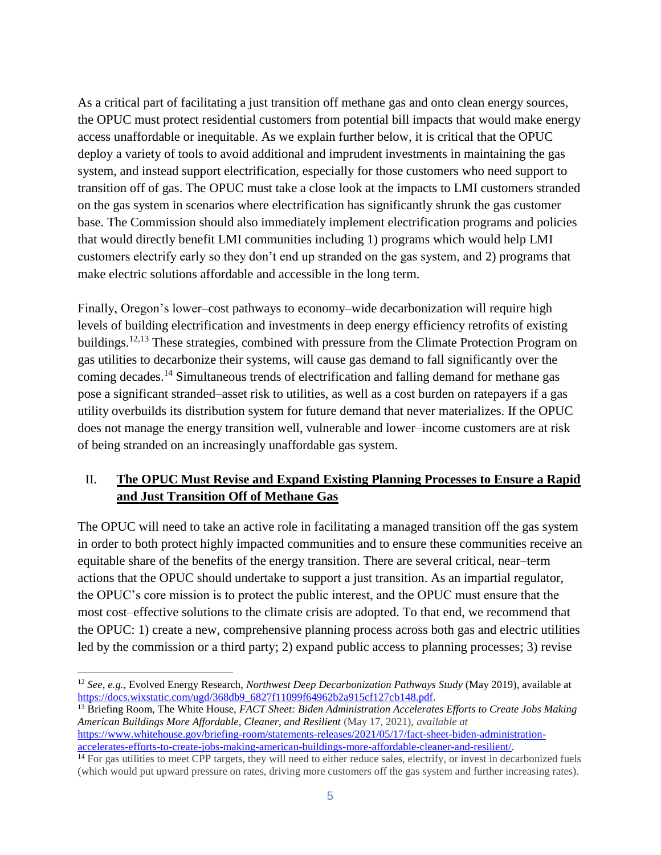As a critical part of facilitating a just transition off methane gas and onto clean energy sources, the OPUC must protect residential customers from potential bill impacts that would make energy access unaffordable or inequitable. As we explain further below, it is critical that the OPUC deploy a variety of tools to avoid additional and imprudent investments in maintaining the gas system, and instead support electrification, especially for those customers who need support to transition off of gas. The OPUC must take a close look at the impacts to LMI customers stranded on the gas system in scenarios where electrification has significantly shrunk the gas customer base. The Commission should also immediately implement electrification programs and policies that would directly benefit LMI communities including 1) programs which would help LMI customers electrify early so they don't end up stranded on the gas system, and 2) programs that make electric solutions affordable and accessible in the long term.

Finally, Oregon's lower–cost pathways to economy–wide decarbonization will require high levels of building electrification and investments in deep energy efficiency retrofits of existing buildings.<sup>12,13</sup> These strategies, combined with pressure from the Climate Protection Program on gas utilities to decarbonize their systems, will cause gas demand to fall significantly over the coming decades.<sup>14</sup> Simultaneous trends of electrification and falling demand for methane gas pose a significant stranded–asset risk to utilities, as well as a cost burden on ratepayers if a gas utility overbuilds its distribution system for future demand that never materializes. If the OPUC does not manage the energy transition well, vulnerable and lower–income customers are at risk of being stranded on an increasingly unaffordable gas system.

## II. **The OPUC Must Revise and Expand Existing Planning Processes to Ensure a Rapid and Just Transition Off of Methane Gas**

The OPUC will need to take an active role in facilitating a managed transition off the gas system in order to both protect highly impacted communities and to ensure these communities receive an equitable share of the benefits of the energy transition. There are several critical, near–term actions that the OPUC should undertake to support a just transition. As an impartial regulator, the OPUC's core mission is to protect the public interest, and the OPUC must ensure that the most cost–effective solutions to the climate crisis are adopted. To that end, we recommend that the OPUC: 1) create a new, comprehensive planning process across both gas and electric utilities led by the commission or a third party; 2) expand public access to planning processes; 3) revise

<sup>13</sup> Briefing Room, The White House, *FACT Sheet: Biden Administration Accelerates Efforts to Create Jobs Making American Buildings More Affordable, Cleaner, and Resilient* (May 17, 2021), *available at*  [https://www.whitehouse.gov/briefing-room/statements-releases/2021/05/17/fact-sheet-biden-administration](https://www.whitehouse.gov/briefing-room/statements-releases/2021/05/17/fact-sheet-biden-administration-accelerates-efforts-to-create-jobs-making-american-buildings-more-affordable-cleaner-and-resilient/)[accelerates-efforts-to-create-jobs-making-american-buildings-more-affordable-cleaner-and-resilient/.](https://www.whitehouse.gov/briefing-room/statements-releases/2021/05/17/fact-sheet-biden-administration-accelerates-efforts-to-create-jobs-making-american-buildings-more-affordable-cleaner-and-resilient/)

 $\overline{a}$ <sup>12</sup> *See, e.g.,* Evolved Energy Research, *Northwest Deep Decarbonization Pathways Study* (May 2019), available at [https://docs.wixstatic.com/ugd/368db9\\_6827f11099f64962b2a915cf127cb148.pdf.](https://docs.wixstatic.com/ugd/368db9_6827f11099f64962b2a915cf127cb148.pdf)

<sup>&</sup>lt;sup>14</sup> For gas utilities to meet CPP targets, they will need to either reduce sales, electrify, or invest in decarbonized fuels (which would put upward pressure on rates, driving more customers off the gas system and further increasing rates).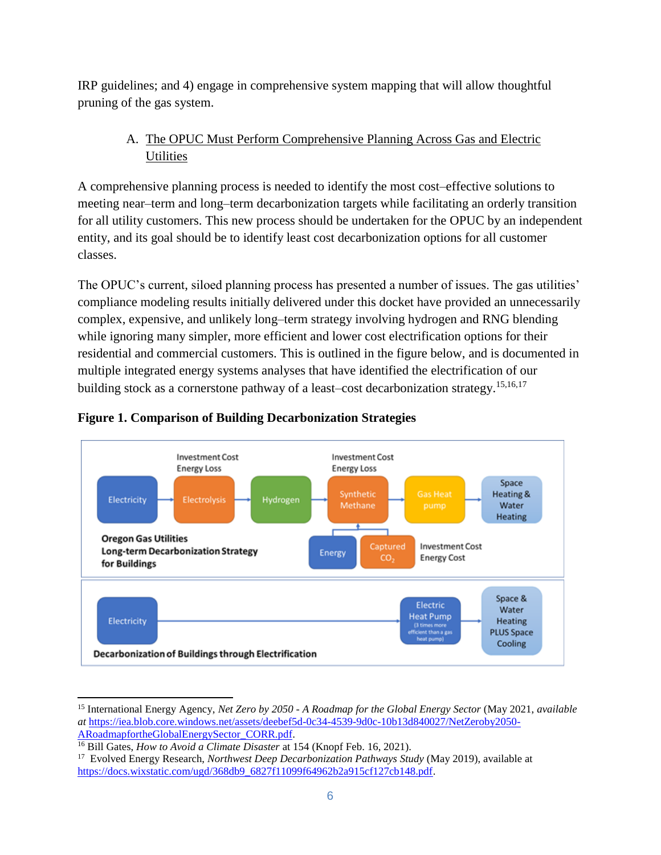IRP guidelines; and 4) engage in comprehensive system mapping that will allow thoughtful pruning of the gas system.

# A. The OPUC Must Perform Comprehensive Planning Across Gas and Electric **Utilities**

A comprehensive planning process is needed to identify the most cost–effective solutions to meeting near–term and long–term decarbonization targets while facilitating an orderly transition for all utility customers. This new process should be undertaken for the OPUC by an independent entity, and its goal should be to identify least cost decarbonization options for all customer classes.

The OPUC's current, siloed planning process has presented a number of issues. The gas utilities' compliance modeling results initially delivered under this docket have provided an unnecessarily complex, expensive, and unlikely long–term strategy involving hydrogen and RNG blending while ignoring many simpler, more efficient and lower cost electrification options for their residential and commercial customers. This is outlined in the figure below, and is documented in multiple integrated energy systems analyses that have identified the electrification of our building stock as a cornerstone pathway of a least–cost decarbonization strategy.<sup>15,16,17</sup>



## **Figure 1. Comparison of Building Decarbonization Strategies**

<sup>15</sup> International Energy Agency, *Net Zero by 2050 - A Roadmap for the Global Energy Sector* (May 2021, *available at* [https://iea.blob.core.windows.net/assets/deebef5d-0c34-4539-9d0c-10b13d840027/NetZeroby2050-](https://iea.blob.core.windows.net/assets/deebef5d-0c34-4539-9d0c-10b13d840027/NetZeroby2050-ARoadmapfortheGlobalEnergySector_CORR.pdf) [ARoadmapfortheGlobalEnergySector\\_CORR.pdf.](https://iea.blob.core.windows.net/assets/deebef5d-0c34-4539-9d0c-10b13d840027/NetZeroby2050-ARoadmapfortheGlobalEnergySector_CORR.pdf)

<sup>&</sup>lt;sup>16</sup> Bill Gates, *How to Avoid a Climate Disaster* at 154 (Knopf Feb. 16, 2021).

<sup>17</sup> Evolved Energy Research, *Northwest Deep Decarbonization Pathways Study* (May 2019), available at [https://docs.wixstatic.com/ugd/368db9\\_6827f11099f64962b2a915cf127cb148.pdf.](https://docs.wixstatic.com/ugd/368db9_6827f11099f64962b2a915cf127cb148.pdf)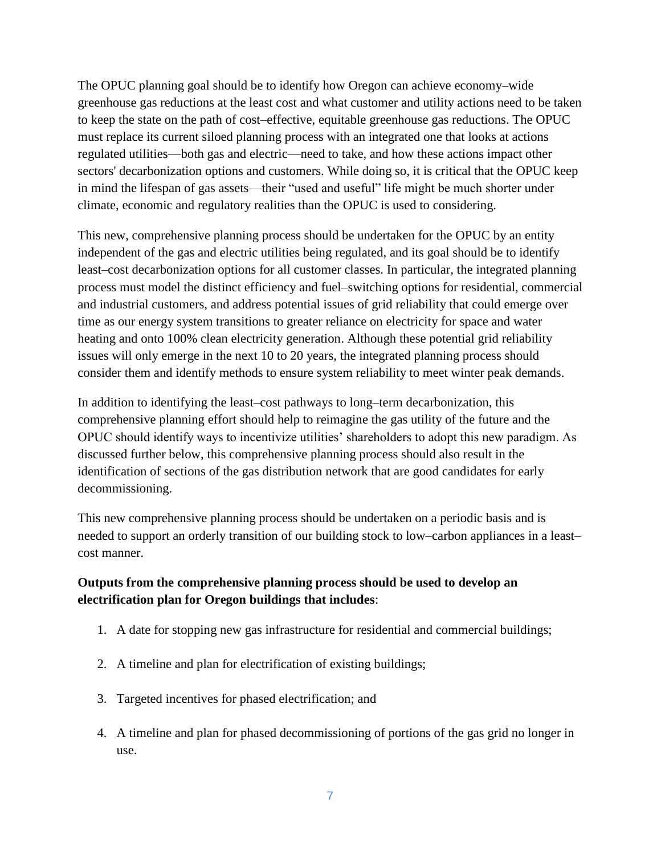The OPUC planning goal should be to identify how Oregon can achieve economy–wide greenhouse gas reductions at the least cost and what customer and utility actions need to be taken to keep the state on the path of cost–effective, equitable greenhouse gas reductions. The OPUC must replace its current siloed planning process with an integrated one that looks at actions regulated utilities—both gas and electric—need to take, and how these actions impact other sectors' decarbonization options and customers. While doing so, it is critical that the OPUC keep in mind the lifespan of gas assets—their "used and useful" life might be much shorter under climate, economic and regulatory realities than the OPUC is used to considering.

This new, comprehensive planning process should be undertaken for the OPUC by an entity independent of the gas and electric utilities being regulated, and its goal should be to identify least–cost decarbonization options for all customer classes. In particular, the integrated planning process must model the distinct efficiency and fuel–switching options for residential, commercial and industrial customers, and address potential issues of grid reliability that could emerge over time as our energy system transitions to greater reliance on electricity for space and water heating and onto 100% clean electricity generation. Although these potential grid reliability issues will only emerge in the next 10 to 20 years, the integrated planning process should consider them and identify methods to ensure system reliability to meet winter peak demands.

In addition to identifying the least–cost pathways to long–term decarbonization, this comprehensive planning effort should help to reimagine the gas utility of the future and the OPUC should identify ways to incentivize utilities' shareholders to adopt this new paradigm. As discussed further below, this comprehensive planning process should also result in the identification of sections of the gas distribution network that are good candidates for early decommissioning.

This new comprehensive planning process should be undertaken on a periodic basis and is needed to support an orderly transition of our building stock to low–carbon appliances in a least– cost manner.

## **Outputs from the comprehensive planning process should be used to develop an electrification plan for Oregon buildings that includes**:

- 1. A date for stopping new gas infrastructure for residential and commercial buildings;
- 2. A timeline and plan for electrification of existing buildings;
- 3. Targeted incentives for phased electrification; and
- 4. A timeline and plan for phased decommissioning of portions of the gas grid no longer in use.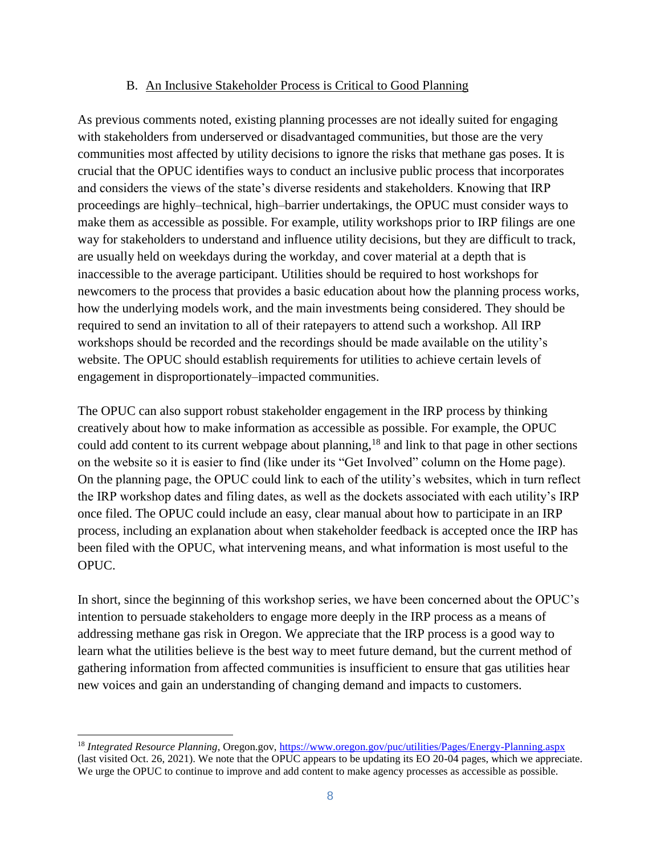#### B. An Inclusive Stakeholder Process is Critical to Good Planning

As previous comments noted, existing planning processes are not ideally suited for engaging with stakeholders from underserved or disadvantaged communities, but those are the very communities most affected by utility decisions to ignore the risks that methane gas poses. It is crucial that the OPUC identifies ways to conduct an inclusive public process that incorporates and considers the views of the state's diverse residents and stakeholders. Knowing that IRP proceedings are highly–technical, high–barrier undertakings, the OPUC must consider ways to make them as accessible as possible. For example, utility workshops prior to IRP filings are one way for stakeholders to understand and influence utility decisions, but they are difficult to track, are usually held on weekdays during the workday, and cover material at a depth that is inaccessible to the average participant. Utilities should be required to host workshops for newcomers to the process that provides a basic education about how the planning process works, how the underlying models work, and the main investments being considered. They should be required to send an invitation to all of their ratepayers to attend such a workshop. All IRP workshops should be recorded and the recordings should be made available on the utility's website. The OPUC should establish requirements for utilities to achieve certain levels of engagement in disproportionately–impacted communities.

The OPUC can also support robust stakeholder engagement in the IRP process by thinking creatively about how to make information as accessible as possible. For example, the OPUC could add content to its current webpage about planning,<sup>18</sup> and link to that page in other sections on the website so it is easier to find (like under its "Get Involved" column on the Home page). On the planning page, the OPUC could link to each of the utility's websites, which in turn reflect the IRP workshop dates and filing dates, as well as the dockets associated with each utility's IRP once filed. The OPUC could include an easy, clear manual about how to participate in an IRP process, including an explanation about when stakeholder feedback is accepted once the IRP has been filed with the OPUC, what intervening means, and what information is most useful to the OPUC.

In short, since the beginning of this workshop series, we have been concerned about the OPUC's intention to persuade stakeholders to engage more deeply in the IRP process as a means of addressing methane gas risk in Oregon. We appreciate that the IRP process is a good way to learn what the utilities believe is the best way to meet future demand, but the current method of gathering information from affected communities is insufficient to ensure that gas utilities hear new voices and gain an understanding of changing demand and impacts to customers.

<sup>18</sup> *Integrated Resource Planning*, Oregon.gov,<https://www.oregon.gov/puc/utilities/Pages/Energy-Planning.aspx> (last visited Oct. 26, 2021). We note that the OPUC appears to be updating its EO 20-04 pages, which we appreciate. We urge the OPUC to continue to improve and add content to make agency processes as accessible as possible.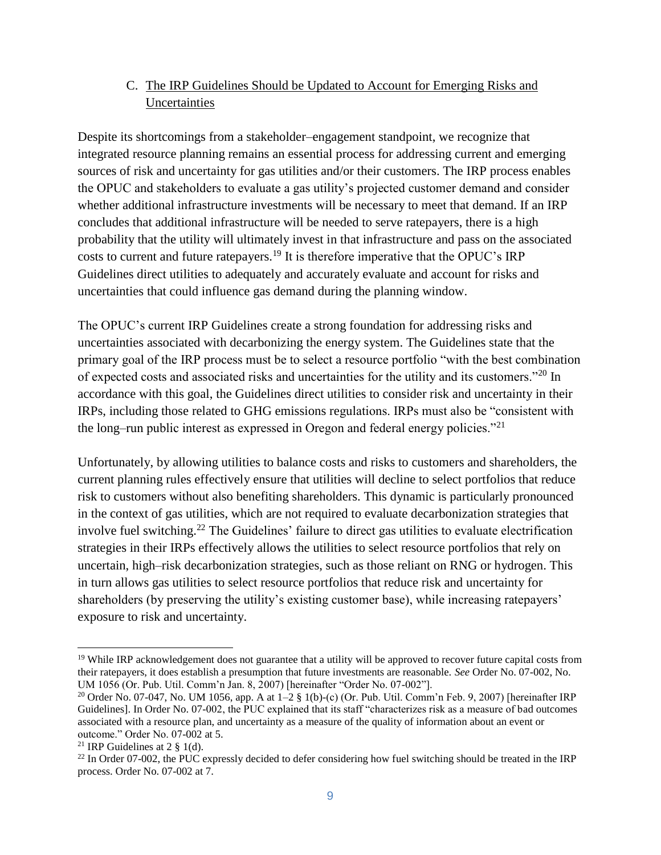## C. The IRP Guidelines Should be Updated to Account for Emerging Risks and Uncertainties

Despite its shortcomings from a stakeholder–engagement standpoint, we recognize that integrated resource planning remains an essential process for addressing current and emerging sources of risk and uncertainty for gas utilities and/or their customers. The IRP process enables the OPUC and stakeholders to evaluate a gas utility's projected customer demand and consider whether additional infrastructure investments will be necessary to meet that demand. If an IRP concludes that additional infrastructure will be needed to serve ratepayers, there is a high probability that the utility will ultimately invest in that infrastructure and pass on the associated costs to current and future ratepayers.<sup>19</sup> It is therefore imperative that the OPUC's IRP Guidelines direct utilities to adequately and accurately evaluate and account for risks and uncertainties that could influence gas demand during the planning window.

The OPUC's current IRP Guidelines create a strong foundation for addressing risks and uncertainties associated with decarbonizing the energy system. The Guidelines state that the primary goal of the IRP process must be to select a resource portfolio "with the best combination of expected costs and associated risks and uncertainties for the utility and its customers."<sup>20</sup> In accordance with this goal, the Guidelines direct utilities to consider risk and uncertainty in their IRPs, including those related to GHG emissions regulations. IRPs must also be "consistent with the long–run public interest as expressed in Oregon and federal energy policies."<sup>21</sup>

Unfortunately, by allowing utilities to balance costs and risks to customers and shareholders, the current planning rules effectively ensure that utilities will decline to select portfolios that reduce risk to customers without also benefiting shareholders. This dynamic is particularly pronounced in the context of gas utilities, which are not required to evaluate decarbonization strategies that involve fuel switching.<sup>22</sup> The Guidelines' failure to direct gas utilities to evaluate electrification strategies in their IRPs effectively allows the utilities to select resource portfolios that rely on uncertain, high–risk decarbonization strategies, such as those reliant on RNG or hydrogen. This in turn allows gas utilities to select resource portfolios that reduce risk and uncertainty for shareholders (by preserving the utility's existing customer base), while increasing ratepayers' exposure to risk and uncertainty.

<sup>&</sup>lt;sup>19</sup> While IRP acknowledgement does not guarantee that a utility will be approved to recover future capital costs from their ratepayers, it does establish a presumption that future investments are reasonable. *See* Order No. 07-002, No. UM 1056 (Or. Pub. Util. Comm'n Jan. 8, 2007) [hereinafter "Order No. 07-002"].

<sup>&</sup>lt;sup>20</sup> Order No. 07-047, No. UM 1056, app. A at  $1-2 \frac{8}{3}$  1(b)-(c) (Or. Pub. Util. Comm'n Feb. 9, 2007) [hereinafter IRP Guidelines]. In Order No. 07-002, the PUC explained that its staff "characterizes risk as a measure of bad outcomes associated with a resource plan, and uncertainty as a measure of the quality of information about an event or outcome." Order No. 07-002 at 5.

<sup>&</sup>lt;sup>21</sup> IRP Guidelines at  $2 \frac{8}{9}$  1(d).

 $^{22}$  In Order 07-002, the PUC expressly decided to defer considering how fuel switching should be treated in the IRP process. Order No. 07-002 at 7.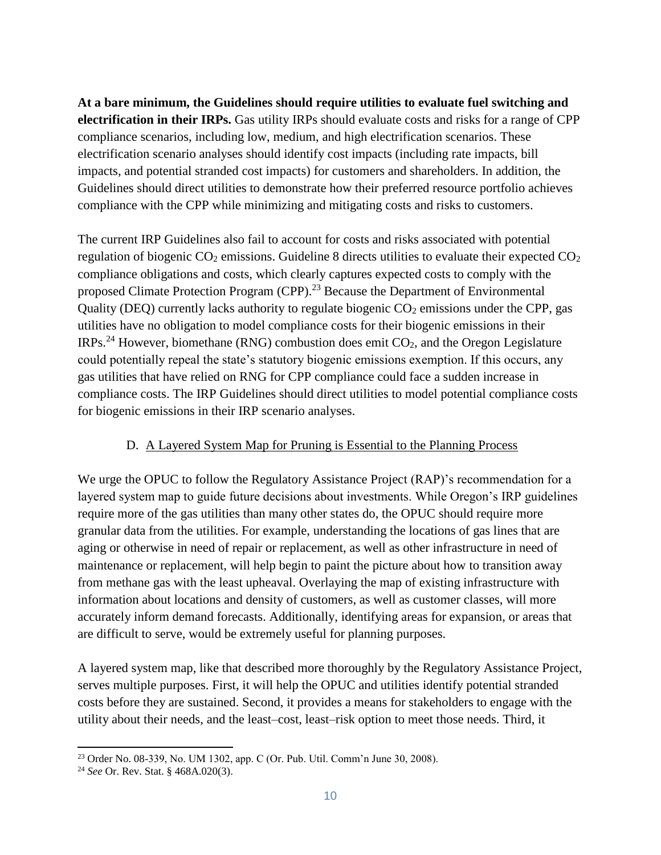**At a bare minimum, the Guidelines should require utilities to evaluate fuel switching and electrification in their IRPs.** Gas utility IRPs should evaluate costs and risks for a range of CPP compliance scenarios, including low, medium, and high electrification scenarios. These electrification scenario analyses should identify cost impacts (including rate impacts, bill impacts, and potential stranded cost impacts) for customers and shareholders. In addition, the Guidelines should direct utilities to demonstrate how their preferred resource portfolio achieves compliance with the CPP while minimizing and mitigating costs and risks to customers.

The current IRP Guidelines also fail to account for costs and risks associated with potential regulation of biogenic  $CO_2$  emissions. Guideline 8 directs utilities to evaluate their expected  $CO_2$ compliance obligations and costs, which clearly captures expected costs to comply with the proposed Climate Protection Program (CPP).<sup>23</sup> Because the Department of Environmental Quality (DEQ) currently lacks authority to regulate biogenic  $CO<sub>2</sub>$  emissions under the CPP, gas utilities have no obligation to model compliance costs for their biogenic emissions in their IRPs.<sup>24</sup> However, biomethane (RNG) combustion does emit  $CO<sub>2</sub>$ , and the Oregon Legislature could potentially repeal the state's statutory biogenic emissions exemption. If this occurs, any gas utilities that have relied on RNG for CPP compliance could face a sudden increase in compliance costs. The IRP Guidelines should direct utilities to model potential compliance costs for biogenic emissions in their IRP scenario analyses.

### D. A Layered System Map for Pruning is Essential to the Planning Process

We urge the OPUC to follow the Regulatory Assistance Project (RAP)'s recommendation for a layered system map to guide future decisions about investments. While Oregon's IRP guidelines require more of the gas utilities than many other states do, the OPUC should require more granular data from the utilities. For example, understanding the locations of gas lines that are aging or otherwise in need of repair or replacement, as well as other infrastructure in need of maintenance or replacement, will help begin to paint the picture about how to transition away from methane gas with the least upheaval. Overlaying the map of existing infrastructure with information about locations and density of customers, as well as customer classes, will more accurately inform demand forecasts. Additionally, identifying areas for expansion, or areas that are difficult to serve, would be extremely useful for planning purposes.

A layered system map, like that described more thoroughly by the Regulatory Assistance Project, serves multiple purposes. First, it will help the OPUC and utilities identify potential stranded costs before they are sustained. Second, it provides a means for stakeholders to engage with the utility about their needs, and the least–cost, least–risk option to meet those needs. Third, it

 $\overline{a}$ 

<sup>23</sup> Order No. 08-339, No. UM 1302, app. C (Or. Pub. Util. Comm'n June 30, 2008).

<sup>24</sup> *See* Or. Rev. Stat. § 468A.020(3).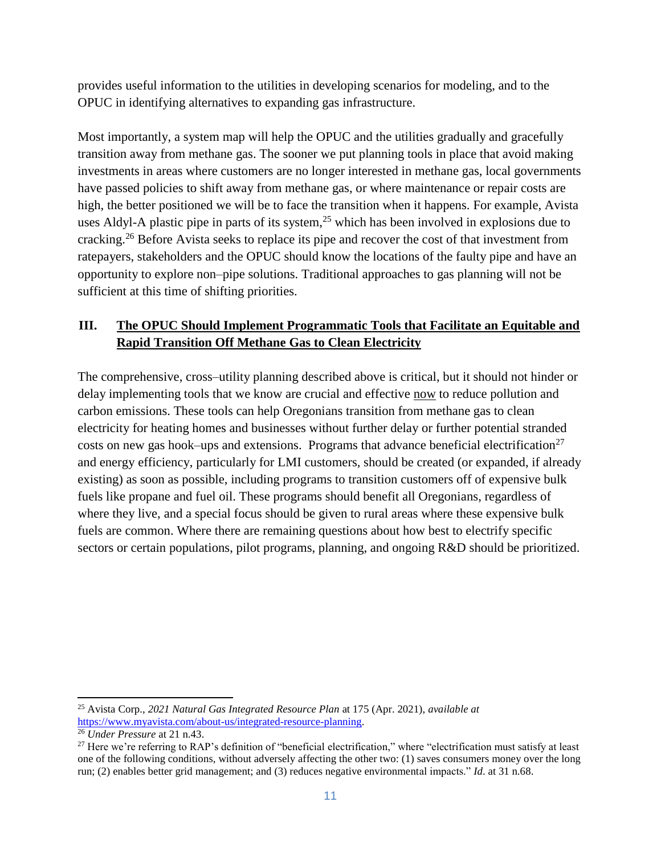provides useful information to the utilities in developing scenarios for modeling, and to the OPUC in identifying alternatives to expanding gas infrastructure.

Most importantly, a system map will help the OPUC and the utilities gradually and gracefully transition away from methane gas. The sooner we put planning tools in place that avoid making investments in areas where customers are no longer interested in methane gas, local governments have passed policies to shift away from methane gas, or where maintenance or repair costs are high, the better positioned we will be to face the transition when it happens. For example, Avista uses Aldyl-A plastic pipe in parts of its system, $^{25}$  which has been involved in explosions due to cracking.<sup>26</sup> Before Avista seeks to replace its pipe and recover the cost of that investment from ratepayers, stakeholders and the OPUC should know the locations of the faulty pipe and have an opportunity to explore non–pipe solutions. Traditional approaches to gas planning will not be sufficient at this time of shifting priorities.

## **III. The OPUC Should Implement Programmatic Tools that Facilitate an Equitable and Rapid Transition Off Methane Gas to Clean Electricity**

The comprehensive, cross–utility planning described above is critical, but it should not hinder or delay implementing tools that we know are crucial and effective now to reduce pollution and carbon emissions. These tools can help Oregonians transition from methane gas to clean electricity for heating homes and businesses without further delay or further potential stranded costs on new gas hook–ups and extensions. Programs that advance beneficial electrification<sup>27</sup> and energy efficiency, particularly for LMI customers, should be created (or expanded, if already existing) as soon as possible, including programs to transition customers off of expensive bulk fuels like propane and fuel oil. These programs should benefit all Oregonians, regardless of where they live, and a special focus should be given to rural areas where these expensive bulk fuels are common. Where there are remaining questions about how best to electrify specific sectors or certain populations, pilot programs, planning, and ongoing R&D should be prioritized.

<sup>25</sup> Avista Corp., *2021 Natural Gas Integrated Resource Plan* at 175 (Apr. 2021), *available at* [https://www.myavista.com/about-us/integrated-resource-planning.](https://www.myavista.com/about-us/integrated-resource-planning)

<sup>26</sup> *Under Pressure* at 21 n.43.

 $27$  Here we're referring to RAP's definition of "beneficial electrification," where "electrification must satisfy at least one of the following conditions, without adversely affecting the other two: (1) saves consumers money over the long run; (2) enables better grid management; and (3) reduces negative environmental impacts." *Id*. at 31 n.68.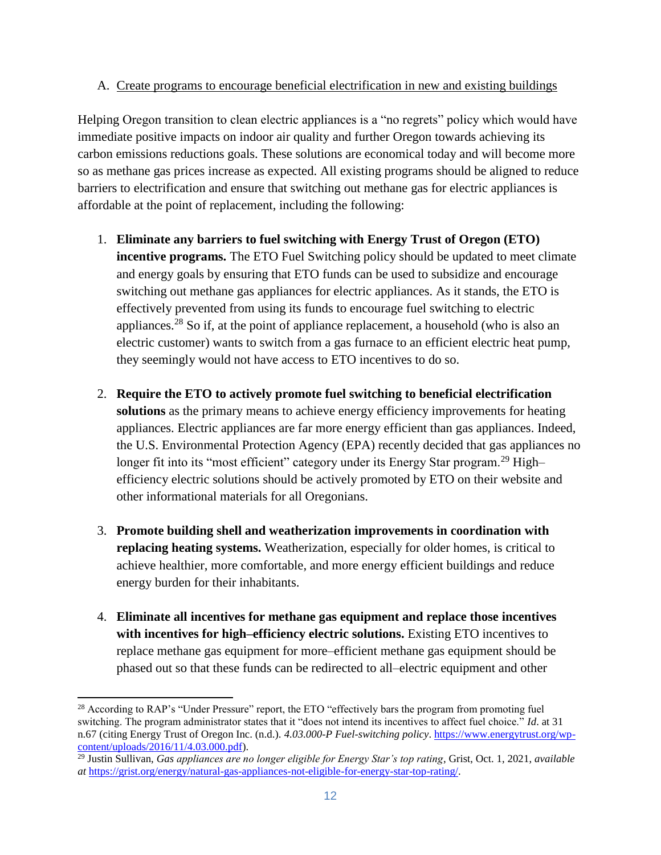## A. Create programs to encourage beneficial electrification in new and existing buildings

Helping Oregon transition to clean electric appliances is a "no regrets" policy which would have immediate positive impacts on indoor air quality and further Oregon towards achieving its carbon emissions reductions goals. These solutions are economical today and will become more so as methane gas prices increase as expected. All existing programs should be aligned to reduce barriers to electrification and ensure that switching out methane gas for electric appliances is affordable at the point of replacement, including the following:

- 1. **Eliminate any barriers to fuel switching with Energy Trust of Oregon (ETO) incentive programs.** The ETO Fuel Switching policy should be updated to meet climate and energy goals by ensuring that ETO funds can be used to subsidize and encourage switching out methane gas appliances for electric appliances. As it stands, the ETO is effectively prevented from using its funds to encourage fuel switching to electric appliances.<sup>28</sup> So if, at the point of appliance replacement, a household (who is also an electric customer) wants to switch from a gas furnace to an efficient electric heat pump, they seemingly would not have access to ETO incentives to do so.
- 2. **Require the ETO to actively promote fuel switching to beneficial electrification solutions** as the primary means to achieve energy efficiency improvements for heating appliances. Electric appliances are far more energy efficient than gas appliances. Indeed, the U.S. Environmental Protection Agency (EPA) recently decided that gas appliances no longer fit into its "most efficient" category under its Energy Star program.<sup>29</sup> High– efficiency electric solutions should be actively promoted by ETO on their website and other informational materials for all Oregonians.
- 3. **Promote building shell and weatherization improvements in coordination with replacing heating systems.** Weatherization, especially for older homes, is critical to achieve healthier, more comfortable, and more energy efficient buildings and reduce energy burden for their inhabitants.
- 4. **Eliminate all incentives for methane gas equipment and replace those incentives with incentives for high–efficiency electric solutions.** Existing ETO incentives to replace methane gas equipment for more–efficient methane gas equipment should be phased out so that these funds can be redirected to all–electric equipment and other

<sup>&</sup>lt;sup>28</sup> According to RAP's "Under Pressure" report, the ETO "effectively bars the program from promoting fuel switching. The program administrator states that it "does not intend its incentives to affect fuel choice." *Id*. at 31 n.67 (citing Energy Trust of Oregon Inc. (n.d.). *4.03.000-P Fuel-switching policy*. [https://www.energytrust.org/wp](https://www.energytrust.org/wp-content/uploads/2016/11/4.03.000.pdf)[content/uploads/2016/11/4.03.000.pdf\)](https://www.energytrust.org/wp-content/uploads/2016/11/4.03.000.pdf).

<sup>29</sup> Justin Sullivan, *Gas appliances are no longer eligible for Energy Star's top rating*, Grist, Oct. 1, 2021, *available at* [https://grist.org/energy/natural-gas-appliances-not-eligible-for-energy-star-top-rating/.](https://grist.org/energy/natural-gas-appliances-not-eligible-for-energy-star-top-rating/)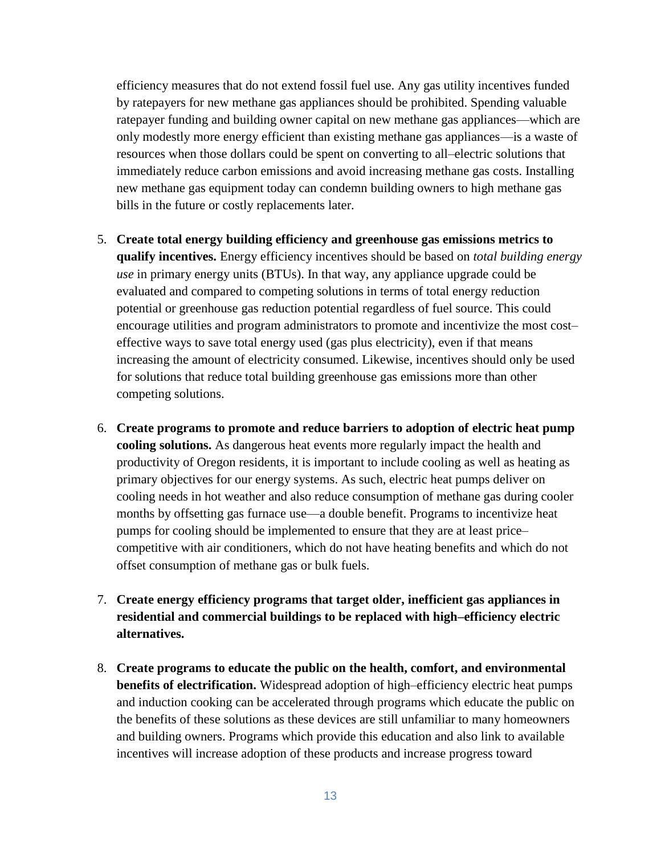efficiency measures that do not extend fossil fuel use. Any gas utility incentives funded by ratepayers for new methane gas appliances should be prohibited. Spending valuable ratepayer funding and building owner capital on new methane gas appliances—which are only modestly more energy efficient than existing methane gas appliances—is a waste of resources when those dollars could be spent on converting to all–electric solutions that immediately reduce carbon emissions and avoid increasing methane gas costs. Installing new methane gas equipment today can condemn building owners to high methane gas bills in the future or costly replacements later.

- 5. **Create total energy building efficiency and greenhouse gas emissions metrics to qualify incentives.** Energy efficiency incentives should be based on *total building energy use* in primary energy units (BTUs). In that way, any appliance upgrade could be evaluated and compared to competing solutions in terms of total energy reduction potential or greenhouse gas reduction potential regardless of fuel source. This could encourage utilities and program administrators to promote and incentivize the most cost– effective ways to save total energy used (gas plus electricity), even if that means increasing the amount of electricity consumed. Likewise, incentives should only be used for solutions that reduce total building greenhouse gas emissions more than other competing solutions.
- 6. **Create programs to promote and reduce barriers to adoption of electric heat pump cooling solutions.** As dangerous heat events more regularly impact the health and productivity of Oregon residents, it is important to include cooling as well as heating as primary objectives for our energy systems. As such, electric heat pumps deliver on cooling needs in hot weather and also reduce consumption of methane gas during cooler months by offsetting gas furnace use—a double benefit. Programs to incentivize heat pumps for cooling should be implemented to ensure that they are at least price– competitive with air conditioners, which do not have heating benefits and which do not offset consumption of methane gas or bulk fuels.
- 7. **Create energy efficiency programs that target older, inefficient gas appliances in residential and commercial buildings to be replaced with high–efficiency electric alternatives.**
- 8. **Create programs to educate the public on the health, comfort, and environmental benefits of electrification.** Widespread adoption of high–efficiency electric heat pumps and induction cooking can be accelerated through programs which educate the public on the benefits of these solutions as these devices are still unfamiliar to many homeowners and building owners. Programs which provide this education and also link to available incentives will increase adoption of these products and increase progress toward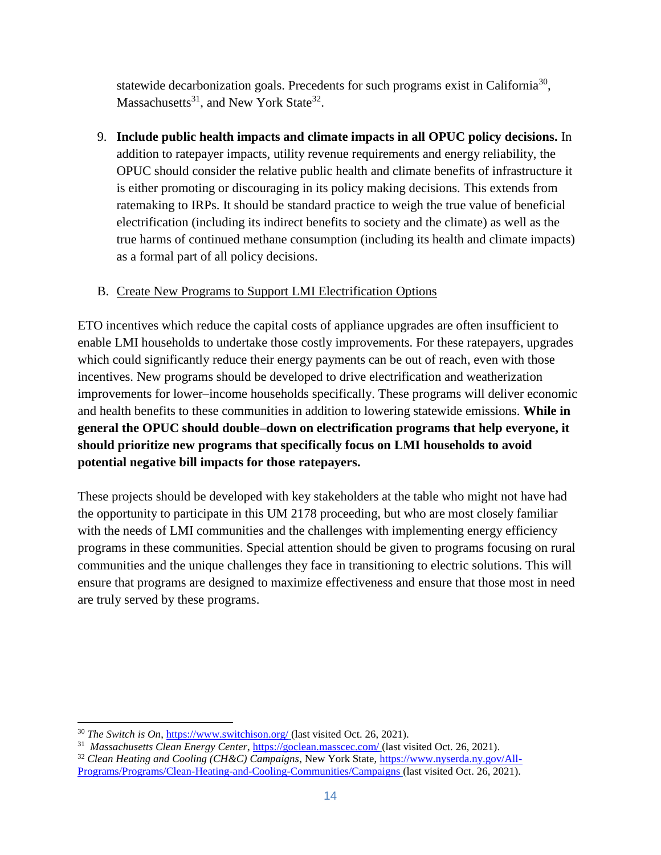statewide decarbonization goals. Precedents for such programs exist in California<sup>30</sup>, Massachusetts<sup>31</sup>, and New York State<sup>32</sup>.

9. **Include public health impacts and climate impacts in all OPUC policy decisions.** In addition to ratepayer impacts, utility revenue requirements and energy reliability, the OPUC should consider the relative public health and climate benefits of infrastructure it is either promoting or discouraging in its policy making decisions. This extends from ratemaking to IRPs. It should be standard practice to weigh the true value of beneficial electrification (including its indirect benefits to society and the climate) as well as the true harms of continued methane consumption (including its health and climate impacts) as a formal part of all policy decisions.

## B. Create New Programs to Support LMI Electrification Options

ETO incentives which reduce the capital costs of appliance upgrades are often insufficient to enable LMI households to undertake those costly improvements. For these ratepayers, upgrades which could significantly reduce their energy payments can be out of reach, even with those incentives. New programs should be developed to drive electrification and weatherization improvements for lower–income households specifically. These programs will deliver economic and health benefits to these communities in addition to lowering statewide emissions. **While in general the OPUC should double–down on electrification programs that help everyone, it should prioritize new programs that specifically focus on LMI households to avoid potential negative bill impacts for those ratepayers.** 

These projects should be developed with key stakeholders at the table who might not have had the opportunity to participate in this UM 2178 proceeding, but who are most closely familiar with the needs of LMI communities and the challenges with implementing energy efficiency programs in these communities. Special attention should be given to programs focusing on rural communities and the unique challenges they face in transitioning to electric solutions. This will ensure that programs are designed to maximize effectiveness and ensure that those most in need are truly served by these programs.

<sup>30</sup> *The Switch is On*,<https://www.switchison.org/> (last visited Oct. 26, 2021).

<sup>&</sup>lt;sup>31</sup> Massachusetts Clean Energy Center,<https://goclean.masscec.com/> (last visited Oct. 26, 2021).

<sup>&</sup>lt;sup>32</sup> Clean Heating and Cooling (CH&C) Campaigns, New York State, [https://www.nyserda.ny.gov/All-](https://www.nyserda.ny.gov/All-Programs/Programs/Clean-Heating-and-Cooling-Communities/Campaigns)[Programs/Programs/Clean-Heating-and-Cooling-Communities/Campaigns](https://www.nyserda.ny.gov/All-Programs/Programs/Clean-Heating-and-Cooling-Communities/Campaigns) (last visited Oct. 26, 2021).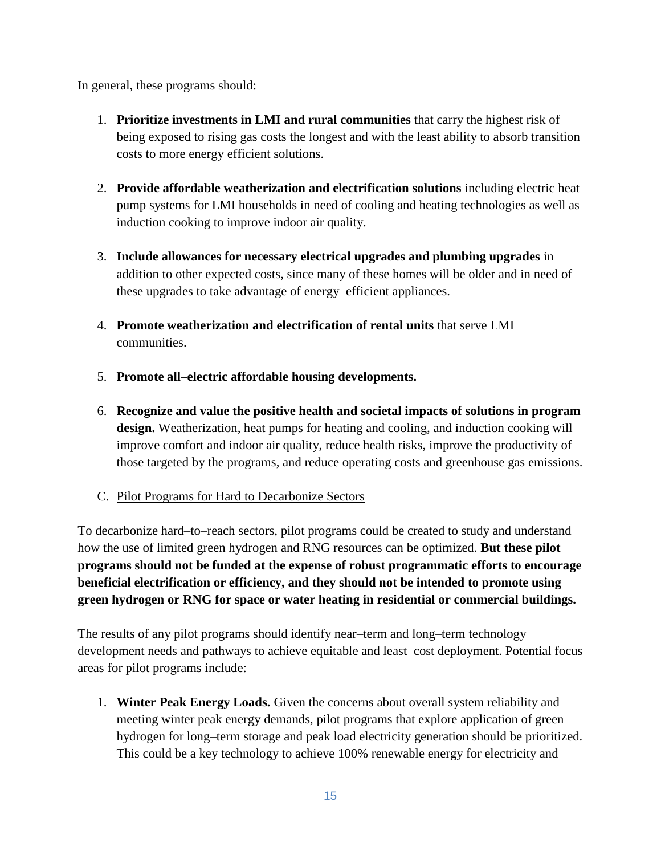In general, these programs should:

- 1. **Prioritize investments in LMI and rural communities** that carry the highest risk of being exposed to rising gas costs the longest and with the least ability to absorb transition costs to more energy efficient solutions.
- 2. **Provide affordable weatherization and electrification solutions** including electric heat pump systems for LMI households in need of cooling and heating technologies as well as induction cooking to improve indoor air quality.
- 3. **Include allowances for necessary electrical upgrades and plumbing upgrades** in addition to other expected costs, since many of these homes will be older and in need of these upgrades to take advantage of energy–efficient appliances.
- 4. **Promote weatherization and electrification of rental units** that serve LMI communities.
- 5. **Promote all–electric affordable housing developments.**
- 6. **Recognize and value the positive health and societal impacts of solutions in program design.** Weatherization, heat pumps for heating and cooling, and induction cooking will improve comfort and indoor air quality, reduce health risks, improve the productivity of those targeted by the programs, and reduce operating costs and greenhouse gas emissions.
- C. Pilot Programs for Hard to Decarbonize Sectors

To decarbonize hard–to–reach sectors, pilot programs could be created to study and understand how the use of limited green hydrogen and RNG resources can be optimized. **But these pilot programs should not be funded at the expense of robust programmatic efforts to encourage beneficial electrification or efficiency, and they should not be intended to promote using green hydrogen or RNG for space or water heating in residential or commercial buildings.**

The results of any pilot programs should identify near–term and long–term technology development needs and pathways to achieve equitable and least–cost deployment. Potential focus areas for pilot programs include:

1. **Winter Peak Energy Loads.** Given the concerns about overall system reliability and meeting winter peak energy demands, pilot programs that explore application of green hydrogen for long–term storage and peak load electricity generation should be prioritized. This could be a key technology to achieve 100% renewable energy for electricity and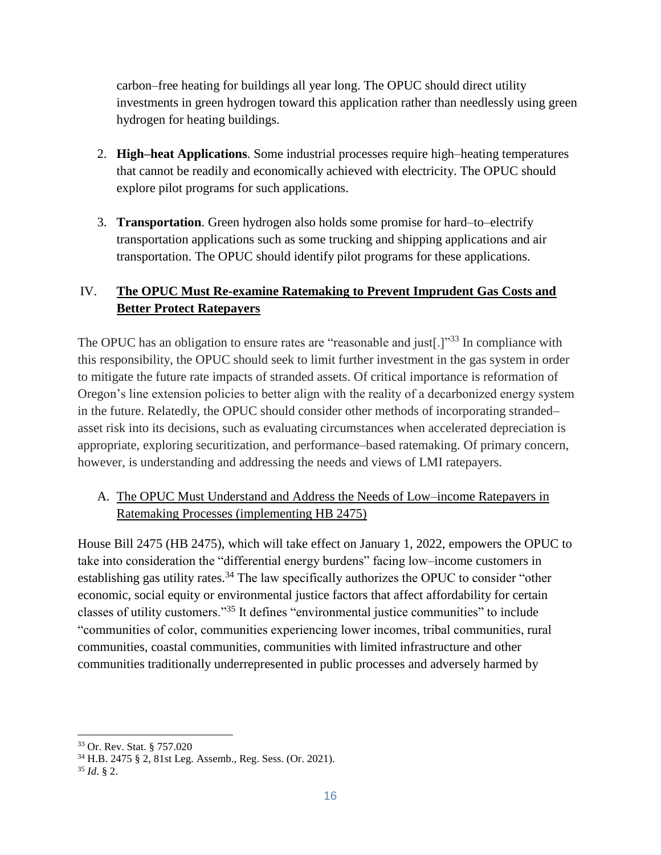carbon–free heating for buildings all year long. The OPUC should direct utility investments in green hydrogen toward this application rather than needlessly using green hydrogen for heating buildings.

- 2. **High–heat Applications**. Some industrial processes require high–heating temperatures that cannot be readily and economically achieved with electricity. The OPUC should explore pilot programs for such applications.
- 3. **Transportation**. Green hydrogen also holds some promise for hard–to–electrify transportation applications such as some trucking and shipping applications and air transportation. The OPUC should identify pilot programs for these applications.

# IV. **The OPUC Must Re-examine Ratemaking to Prevent Imprudent Gas Costs and Better Protect Ratepayers**

The OPUC has an obligation to ensure rates are "reasonable and just[.]"<sup>33</sup> In compliance with this responsibility, the OPUC should seek to limit further investment in the gas system in order to mitigate the future rate impacts of stranded assets. Of critical importance is reformation of Oregon's line extension policies to better align with the reality of a decarbonized energy system in the future. Relatedly, the OPUC should consider other methods of incorporating stranded– asset risk into its decisions, such as evaluating circumstances when accelerated depreciation is appropriate, exploring securitization, and performance–based ratemaking. Of primary concern, however, is understanding and addressing the needs and views of LMI ratepayers.

## A. The OPUC Must Understand and Address the Needs of Low–income Ratepayers in Ratemaking Processes (implementing HB 2475)

House Bill 2475 (HB 2475), which will take effect on January 1, 2022, empowers the OPUC to take into consideration the "differential energy burdens" facing low–income customers in establishing gas utility rates.<sup>34</sup> The law specifically authorizes the OPUC to consider "other economic, social equity or environmental justice factors that affect affordability for certain classes of utility customers."<sup>35</sup> It defines "environmental justice communities" to include "communities of color, communities experiencing lower incomes, tribal communities, rural communities, coastal communities, communities with limited infrastructure and other communities traditionally underrepresented in public processes and adversely harmed by

<sup>33</sup> Or. Rev. Stat. § 757.020

<sup>34</sup> H.B. 2475 § 2, 81st Leg. Assemb., Reg. Sess. (Or. 2021).

<sup>35</sup> *Id*. § 2.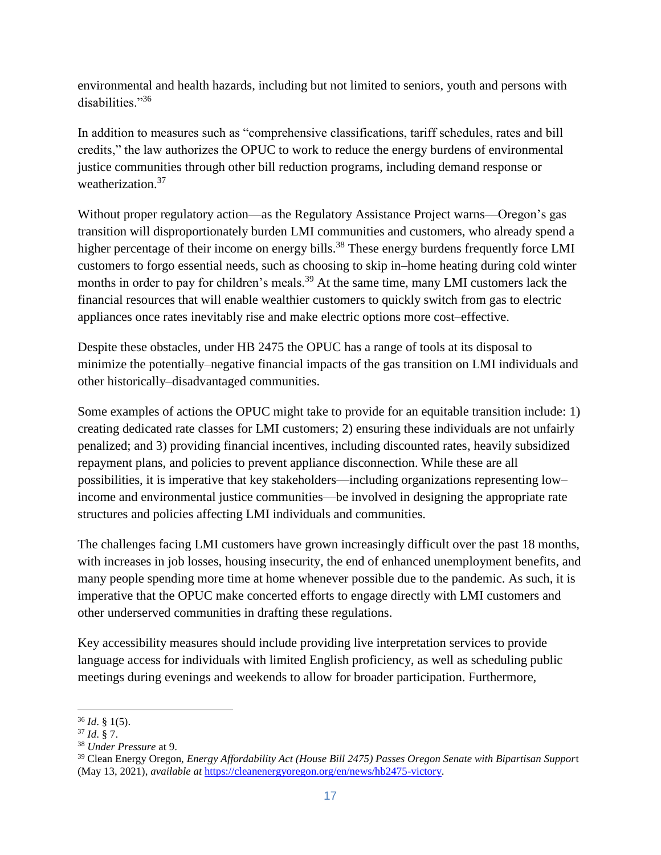environmental and health hazards, including but not limited to seniors, youth and persons with disabilities."<sup>36</sup>

In addition to measures such as "comprehensive classifications, tariff schedules, rates and bill credits," the law authorizes the OPUC to work to reduce the energy burdens of environmental justice communities through other bill reduction programs, including demand response or weatherization.<sup>37</sup>

Without proper regulatory action—as the Regulatory Assistance Project warns—Oregon's gas transition will disproportionately burden LMI communities and customers, who already spend a higher percentage of their income on energy bills.<sup>38</sup> These energy burdens frequently force LMI customers to forgo essential needs, such as choosing to skip in–home heating during cold winter months in order to pay for children's meals.<sup>39</sup> At the same time, many LMI customers lack the financial resources that will enable wealthier customers to quickly switch from gas to electric appliances once rates inevitably rise and make electric options more cost–effective.

Despite these obstacles, under HB 2475 the OPUC has a range of tools at its disposal to minimize the potentially–negative financial impacts of the gas transition on LMI individuals and other historically–disadvantaged communities.

Some examples of actions the OPUC might take to provide for an equitable transition include: 1) creating dedicated rate classes for LMI customers; 2) ensuring these individuals are not unfairly penalized; and 3) providing financial incentives, including discounted rates, heavily subsidized repayment plans, and policies to prevent appliance disconnection. While these are all possibilities, it is imperative that key stakeholders—including organizations representing low– income and environmental justice communities—be involved in designing the appropriate rate structures and policies affecting LMI individuals and communities.

The challenges facing LMI customers have grown increasingly difficult over the past 18 months, with increases in job losses, housing insecurity, the end of enhanced unemployment benefits, and many people spending more time at home whenever possible due to the pandemic. As such, it is imperative that the OPUC make concerted efforts to engage directly with LMI customers and other underserved communities in drafting these regulations.

Key accessibility measures should include providing live interpretation services to provide language access for individuals with limited English proficiency, as well as scheduling public meetings during evenings and weekends to allow for broader participation. Furthermore,

 $\overline{a}$ 

<sup>36</sup> *Id*. § 1(5).

<sup>37</sup> *Id*. § 7.

<sup>38</sup> *Under Pressure* at 9.

<sup>39</sup> Clean Energy Oregon, *Energy Affordability Act (House Bill 2475) Passes Oregon Senate with Bipartisan Suppor*t (May 13, 2021), *available at* [https://cleanenergyoregon.org/en/news/hb2475-victory.](https://cleanenergyoregon.org/en/news/hb2475-victory)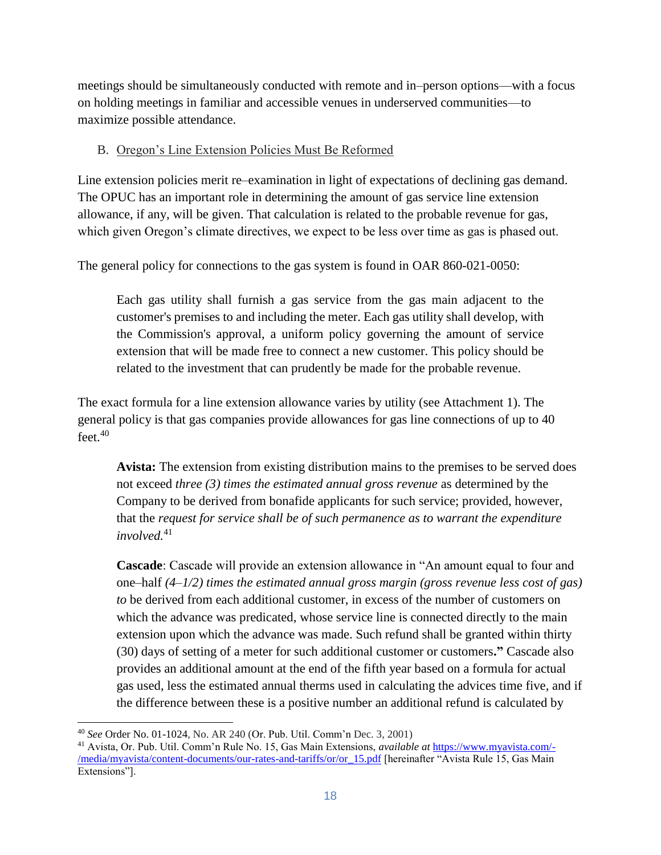meetings should be simultaneously conducted with remote and in–person options—with a focus on holding meetings in familiar and accessible venues in underserved communities—to maximize possible attendance.

#### B. Oregon's Line Extension Policies Must Be Reformed

Line extension policies merit re–examination in light of expectations of declining gas demand. The OPUC has an important role in determining the amount of gas service line extension allowance, if any, will be given. That calculation is related to the probable revenue for gas, which given Oregon's climate directives, we expect to be less over time as gas is phased out.

The general policy for connections to the gas system is found in [OAR 860-021-0050:](https://1.next.westlaw.com/Link/Document/FullText?findType=L&pubNum=1013613&cite=ORADC860-021-0050&originatingDoc=I9dec9dfcdbe011ddbc7bf97f340af743&refType=LQ&originationContext=document&transitionType=DocumentItem&ppcid=43402c4d6e9f4beba8add5932f5319ae&contextData=(sc.UserEnteredCitation))

Each gas utility shall furnish a gas service from the gas main adjacent to the customer's premises to and including the meter. Each gas utility shall develop, with the Commission's approval, a uniform policy governing the amount of service extension that will be made free to connect a new customer. This policy should be related to the investment that can prudently be made for the probable revenue.

The exact formula for a line extension allowance varies by utility (see Attachment 1). The general policy is that gas companies provide allowances for gas line connections of up to 40 feet.<sup>40</sup>

**Avista:** The extension from existing distribution mains to the premises to be served does not exceed *three (3) times the estimated annual gross revenue* as determined by the Company to be derived from bonafide applicants for such service; provided, however, that the *request for service shall be of such permanence as to warrant the expenditure involved.*<sup>41</sup>

**Cascade**: Cascade will provide an extension allowance in "An amount equal to four and one–half *(4*–*1/2) times the estimated annual gross margin (gross revenue less cost of gas) to* be derived from each additional customer, in excess of the number of customers on which the advance was predicated, whose service line is connected directly to the main extension upon which the advance was made. Such refund shall be granted within thirty (30) days of setting of a meter for such additional customer or customers**."** Cascade also provides an additional amount at the end of the fifth year based on a formula for actual gas used, less the estimated annual therms used in calculating the advices time five, and if the difference between these is a positive number an additional refund is calculated by

<sup>40</sup> *See* Order No. 01-1024, No. AR 240 (Or. Pub. Util. Comm'n Dec. 3, 2001)

<sup>41</sup> Avista, Or. Pub. Util. Comm'n Rule No. 15, Gas Main Extensions, *available at* [https://www.myavista.com/-](https://www.myavista.com/-/media/myavista/content-documents/our-rates-and-tariffs/or/or_15.pdf) [/media/myavista/content-documents/our-rates-and-tariffs/or/or\\_15.pdf](https://www.myavista.com/-/media/myavista/content-documents/our-rates-and-tariffs/or/or_15.pdf) [hereinafter "Avista Rule 15, Gas Main Extensions"].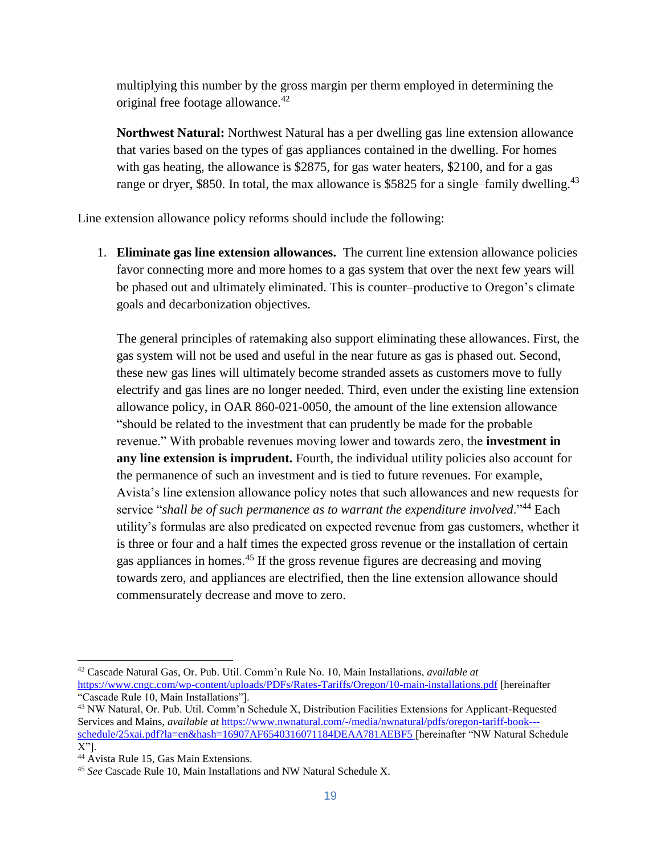multiplying this number by the gross margin per therm employed in determining the original free footage allowance.<sup>42</sup>

**Northwest Natural:** Northwest Natural has a per dwelling gas line extension allowance that varies based on the types of gas appliances contained in the dwelling. For homes with gas heating, the allowance is \$2875, for gas water heaters, \$2100, and for a gas range or dryer, \$850. In total, the max allowance is \$5825 for a single–family dwelling.<sup>43</sup>

Line extension allowance policy reforms should include the following:

1. **Eliminate gas line extension allowances.** The current line extension allowance policies favor connecting more and more homes to a gas system that over the next few years will be phased out and ultimately eliminated. This is counter–productive to Oregon's climate goals and decarbonization objectives.

The general principles of ratemaking also support eliminating these allowances. First, the gas system will not be used and useful in the near future as gas is phased out. Second, these new gas lines will ultimately become stranded assets as customers move to fully electrify and gas lines are no longer needed. Third, even under the existing line extension allowance policy, in OAR [860-021-0050,](https://1.next.westlaw.com/Link/Document/FullText?findType=L&pubNum=1013613&cite=ORADC860-021-0050&originatingDoc=I9dec9dfcdbe011ddbc7bf97f340af743&refType=LQ&originationContext=document&transitionType=DocumentItem&ppcid=43402c4d6e9f4beba8add5932f5319ae&contextData=(sc.UserEnteredCitation)) the amount of the line extension allowance "should be related to the investment that can prudently be made for the probable revenue." With probable revenues moving lower and towards zero, the **investment in any line extension is imprudent.** Fourth, the individual utility policies also account for the permanence of such an investment and is tied to future revenues. For example, Avista's line extension allowance policy notes that such allowances and new requests for service "*shall be of such permanence as to warrant the expenditure involved*."<sup>44</sup> Each utility's formulas are also predicated on expected revenue from gas customers, whether it is three or four and a half times the expected gross revenue or the installation of certain gas appliances in homes.<sup>45</sup> If the gross revenue figures are decreasing and moving towards zero, and appliances are electrified, then the line extension allowance should commensurately decrease and move to zero.

<sup>42</sup> Cascade Natural Gas, Or. Pub. Util. Comm'n Rule No. 10, Main Installations, *available at*  <https://www.cngc.com/wp-content/uploads/PDFs/Rates-Tariffs/Oregon/10-main-installations.pdf> [hereinafter "Cascade Rule 10, Main Installations"].

<sup>43</sup> NW Natural, Or. Pub. Util. Comm'n Schedule X, Distribution Facilities Extensions for Applicant-Requested Services and Mains, *available at* [https://www.nwnatural.com/-/media/nwnatural/pdfs/oregon-tariff-book--](https://www.nwnatural.com/-/media/nwnatural/pdfs/oregon-tariff-book---schedule/25xai.pdf?la=en&hash=16907AF6540316071184DEAA781AEBF5) [schedule/25xai.pdf?la=en&hash=16907AF6540316071184DEAA781AEBF5](https://www.nwnatural.com/-/media/nwnatural/pdfs/oregon-tariff-book---schedule/25xai.pdf?la=en&hash=16907AF6540316071184DEAA781AEBF5) [hereinafter "NW Natural Schedule X"].

<sup>&</sup>lt;sup>44</sup> Avista Rule 15, Gas Main Extensions.

<sup>45</sup> *See* Cascade Rule 10, Main Installations and NW Natural Schedule X.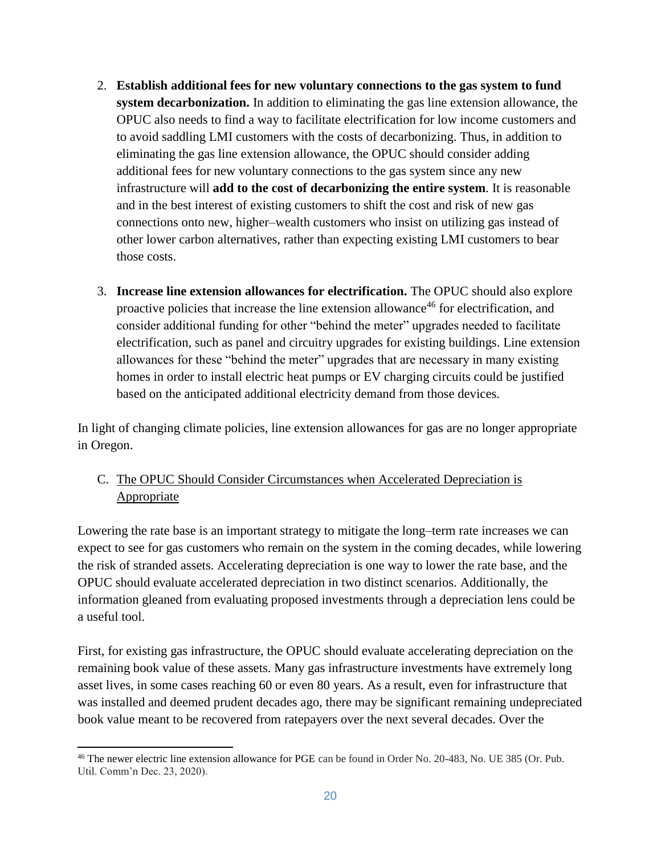- 2. **Establish additional fees for new voluntary connections to the gas system to fund system decarbonization.** In addition to eliminating the gas line extension allowance, the OPUC also needs to find a way to facilitate electrification for low income customers and to avoid saddling LMI customers with the costs of decarbonizing. Thus, in addition to eliminating the gas line extension allowance, the OPUC should consider adding additional fees for new voluntary connections to the gas system since any new infrastructure will **add to the cost of decarbonizing the entire system**. It is reasonable and in the best interest of existing customers to shift the cost and risk of new gas connections onto new, higher–wealth customers who insist on utilizing gas instead of other lower carbon alternatives, rather than expecting existing LMI customers to bear those costs.
- 3. **Increase line extension allowances for electrification.** The OPUC should also explore proactive policies that increase the line extension allowance<sup>46</sup> for electrification, and consider additional funding for other "behind the meter" upgrades needed to facilitate electrification, such as panel and circuitry upgrades for existing buildings. Line extension allowances for these "behind the meter" upgrades that are necessary in many existing homes in order to install electric heat pumps or EV charging circuits could be justified based on the anticipated additional electricity demand from those devices.

In light of changing climate policies, line extension allowances for gas are no longer appropriate in Oregon.

## C. The OPUC Should Consider Circumstances when Accelerated Depreciation is **Appropriate**

Lowering the rate base is an important strategy to mitigate the long–term rate increases we can expect to see for gas customers who remain on the system in the coming decades, while lowering the risk of stranded assets. Accelerating depreciation is one way to lower the rate base, and the OPUC should evaluate accelerated depreciation in two distinct scenarios. Additionally, the information gleaned from evaluating proposed investments through a depreciation lens could be a useful tool.

First, for existing gas infrastructure, the OPUC should evaluate accelerating depreciation on the remaining book value of these assets. Many gas infrastructure investments have extremely long asset lives, in some cases reaching 60 or even 80 years. As a result, even for infrastructure that was installed and deemed prudent decades ago, there may be significant remaining undepreciated book value meant to be recovered from ratepayers over the next several decades. Over the

 $\overline{a}$ 

<sup>46</sup> The newer electric line extension allowance for PGE can be found in Order No. 20-483, No. UE 385 (Or. Pub. Util. Comm'n Dec. 23, 2020).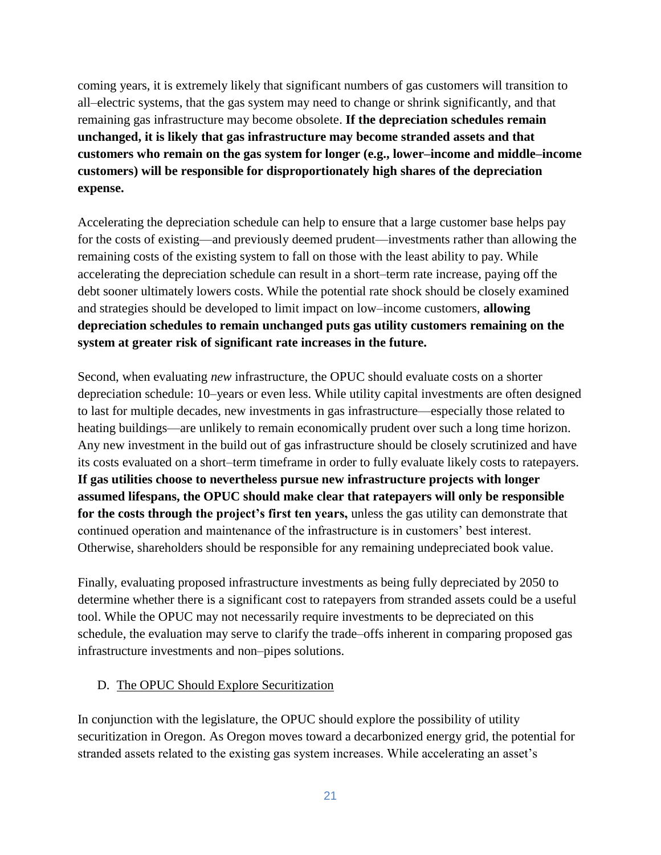coming years, it is extremely likely that significant numbers of gas customers will transition to all–electric systems, that the gas system may need to change or shrink significantly, and that remaining gas infrastructure may become obsolete. **If the depreciation schedules remain unchanged, it is likely that gas infrastructure may become stranded assets and that customers who remain on the gas system for longer (e.g., lower–income and middle–income customers) will be responsible for disproportionately high shares of the depreciation expense.** 

Accelerating the depreciation schedule can help to ensure that a large customer base helps pay for the costs of existing—and previously deemed prudent—investments rather than allowing the remaining costs of the existing system to fall on those with the least ability to pay. While accelerating the depreciation schedule can result in a short–term rate increase, paying off the debt sooner ultimately lowers costs. While the potential rate shock should be closely examined and strategies should be developed to limit impact on low–income customers, **allowing depreciation schedules to remain unchanged puts gas utility customers remaining on the system at greater risk of significant rate increases in the future.** 

Second, when evaluating *new* infrastructure, the OPUC should evaluate costs on a shorter depreciation schedule: 10–years or even less. While utility capital investments are often designed to last for multiple decades, new investments in gas infrastructure—especially those related to heating buildings—are unlikely to remain economically prudent over such a long time horizon. Any new investment in the build out of gas infrastructure should be closely scrutinized and have its costs evaluated on a short–term timeframe in order to fully evaluate likely costs to ratepayers. **If gas utilities choose to nevertheless pursue new infrastructure projects with longer assumed lifespans, the OPUC should make clear that ratepayers will only be responsible for the costs through the project's first ten years,** unless the gas utility can demonstrate that continued operation and maintenance of the infrastructure is in customers' best interest. Otherwise, shareholders should be responsible for any remaining undepreciated book value.

Finally, evaluating proposed infrastructure investments as being fully depreciated by 2050 to determine whether there is a significant cost to ratepayers from stranded assets could be a useful tool. While the OPUC may not necessarily require investments to be depreciated on this schedule, the evaluation may serve to clarify the trade–offs inherent in comparing proposed gas infrastructure investments and non–pipes solutions.

### D. The OPUC Should Explore Securitization

In conjunction with the legislature, the OPUC should explore the possibility of utility securitization in Oregon. As Oregon moves toward a decarbonized energy grid, the potential for stranded assets related to the existing gas system increases. While accelerating an asset's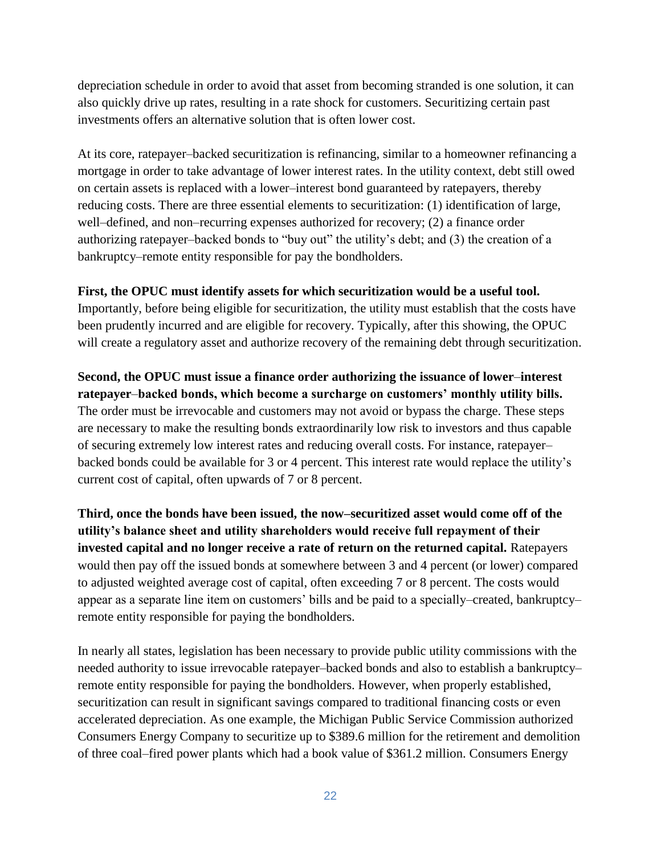depreciation schedule in order to avoid that asset from becoming stranded is one solution, it can also quickly drive up rates, resulting in a rate shock for customers. Securitizing certain past investments offers an alternative solution that is often lower cost.

At its core, ratepayer–backed securitization is refinancing, similar to a homeowner refinancing a mortgage in order to take advantage of lower interest rates. In the utility context, debt still owed on certain assets is replaced with a lower–interest bond guaranteed by ratepayers, thereby reducing costs. There are three essential elements to securitization: (1) identification of large, well–defined, and non–recurring expenses authorized for recovery; (2) a finance order authorizing ratepayer–backed bonds to "buy out" the utility's debt; and (3) the creation of a bankruptcy–remote entity responsible for pay the bondholders.

### **First, the OPUC must identify assets for which securitization would be a useful tool.**

Importantly, before being eligible for securitization, the utility must establish that the costs have been prudently incurred and are eligible for recovery. Typically, after this showing, the OPUC will create a regulatory asset and authorize recovery of the remaining debt through securitization.

**Second, the OPUC must issue a finance order authorizing the issuance of lower**–**interest ratepayer**–**backed bonds, which become a surcharge on customers' monthly utility bills.**  The order must be irrevocable and customers may not avoid or bypass the charge. These steps are necessary to make the resulting bonds extraordinarily low risk to investors and thus capable of securing extremely low interest rates and reducing overall costs. For instance, ratepayer– backed bonds could be available for 3 or 4 percent. This interest rate would replace the utility's current cost of capital, often upwards of 7 or 8 percent.

**Third, once the bonds have been issued, the now–securitized asset would come off of the utility's balance sheet and utility shareholders would receive full repayment of their invested capital and no longer receive a rate of return on the returned capital.** Ratepayers would then pay off the issued bonds at somewhere between 3 and 4 percent (or lower) compared to adjusted weighted average cost of capital, often exceeding 7 or 8 percent. The costs would appear as a separate line item on customers' bills and be paid to a specially–created, bankruptcy– remote entity responsible for paying the bondholders.

In nearly all states, legislation has been necessary to provide public utility commissions with the needed authority to issue irrevocable ratepayer–backed bonds and also to establish a bankruptcy– remote entity responsible for paying the bondholders. However, when properly established, securitization can result in significant savings compared to traditional financing costs or even accelerated depreciation. As one example, the Michigan Public Service Commission authorized Consumers Energy Company to securitize up to \$389.6 million for the retirement and demolition of three coal–fired power plants which had a book value of \$361.2 million. Consumers Energy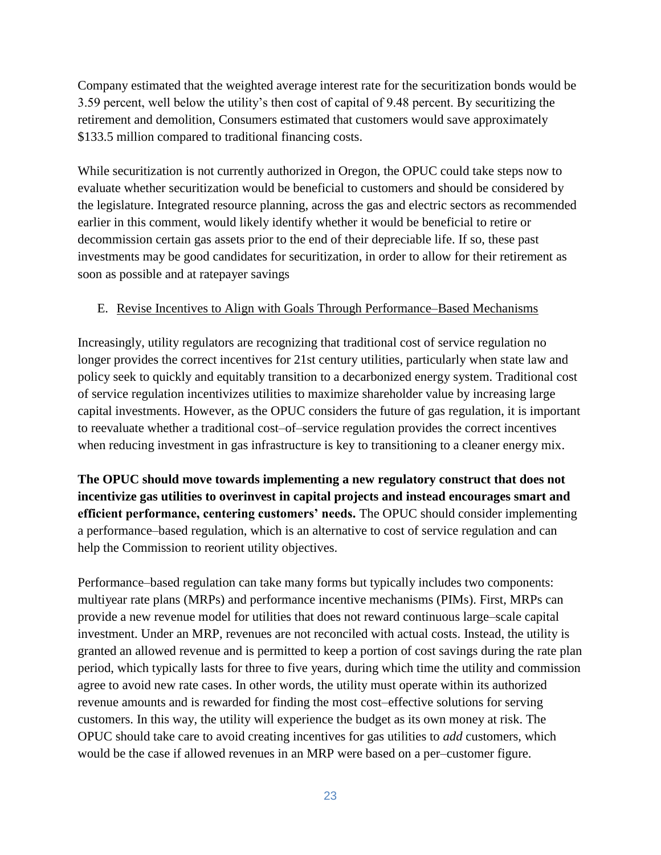Company estimated that the weighted average interest rate for the securitization bonds would be 3.59 percent, well below the utility's then cost of capital of 9.48 percent. By securitizing the retirement and demolition, Consumers estimated that customers would save approximately \$133.5 million compared to traditional financing costs.

While securitization is not currently authorized in Oregon, the OPUC could take steps now to evaluate whether securitization would be beneficial to customers and should be considered by the legislature. Integrated resource planning, across the gas and electric sectors as recommended earlier in this comment, would likely identify whether it would be beneficial to retire or decommission certain gas assets prior to the end of their depreciable life. If so, these past investments may be good candidates for securitization, in order to allow for their retirement as soon as possible and at ratepayer savings

## E. Revise Incentives to Align with Goals Through Performance–Based Mechanisms

Increasingly, utility regulators are recognizing that traditional cost of service regulation no longer provides the correct incentives for 21st century utilities, particularly when state law and policy seek to quickly and equitably transition to a decarbonized energy system. Traditional cost of service regulation incentivizes utilities to maximize shareholder value by increasing large capital investments. However, as the OPUC considers the future of gas regulation, it is important to reevaluate whether a traditional cost–of–service regulation provides the correct incentives when reducing investment in gas infrastructure is key to transitioning to a cleaner energy mix.

**The OPUC should move towards implementing a new regulatory construct that does not incentivize gas utilities to overinvest in capital projects and instead encourages smart and efficient performance, centering customers' needs.** The OPUC should consider implementing a performance–based regulation, which is an alternative to cost of service regulation and can help the Commission to reorient utility objectives.

Performance–based regulation can take many forms but typically includes two components: multiyear rate plans (MRPs) and performance incentive mechanisms (PIMs). First, MRPs can provide a new revenue model for utilities that does not reward continuous large–scale capital investment. Under an MRP, revenues are not reconciled with actual costs. Instead, the utility is granted an allowed revenue and is permitted to keep a portion of cost savings during the rate plan period, which typically lasts for three to five years, during which time the utility and commission agree to avoid new rate cases. In other words, the utility must operate within its authorized revenue amounts and is rewarded for finding the most cost–effective solutions for serving customers. In this way, the utility will experience the budget as its own money at risk. The OPUC should take care to avoid creating incentives for gas utilities to *add* customers, which would be the case if allowed revenues in an MRP were based on a per–customer figure.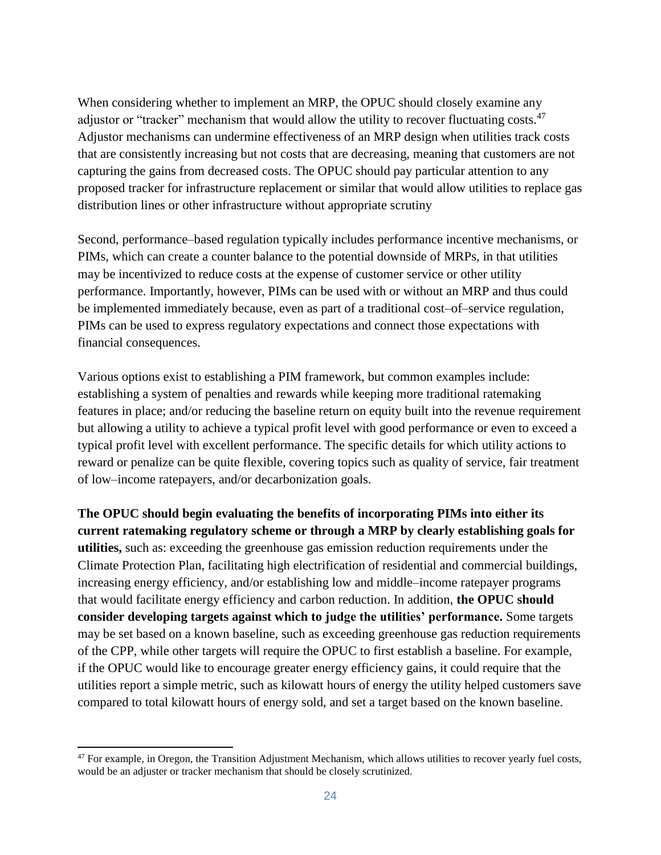When considering whether to implement an MRP, the OPUC should closely examine any adjustor or "tracker" mechanism that would allow the utility to recover fluctuating costs.<sup>47</sup> Adjustor mechanisms can undermine effectiveness of an MRP design when utilities track costs that are consistently increasing but not costs that are decreasing, meaning that customers are not capturing the gains from decreased costs. The OPUC should pay particular attention to any proposed tracker for infrastructure replacement or similar that would allow utilities to replace gas distribution lines or other infrastructure without appropriate scrutiny

Second, performance–based regulation typically includes performance incentive mechanisms, or PIMs, which can create a counter balance to the potential downside of MRPs, in that utilities may be incentivized to reduce costs at the expense of customer service or other utility performance. Importantly, however, PIMs can be used with or without an MRP and thus could be implemented immediately because, even as part of a traditional cost–of–service regulation, PIMs can be used to express regulatory expectations and connect those expectations with financial consequences.

Various options exist to establishing a PIM framework, but common examples include: establishing a system of penalties and rewards while keeping more traditional ratemaking features in place; and/or reducing the baseline return on equity built into the revenue requirement but allowing a utility to achieve a typical profit level with good performance or even to exceed a typical profit level with excellent performance. The specific details for which utility actions to reward or penalize can be quite flexible, covering topics such as quality of service, fair treatment of low–income ratepayers, and/or decarbonization goals.

**The OPUC should begin evaluating the benefits of incorporating PIMs into either its current ratemaking regulatory scheme or through a MRP by clearly establishing goals for utilities,** such as: exceeding the greenhouse gas emission reduction requirements under the Climate Protection Plan, facilitating high electrification of residential and commercial buildings, increasing energy efficiency, and/or establishing low and middle–income ratepayer programs that would facilitate energy efficiency and carbon reduction. In addition, **the OPUC should consider developing targets against which to judge the utilities' performance.** Some targets may be set based on a known baseline, such as exceeding greenhouse gas reduction requirements of the CPP, while other targets will require the OPUC to first establish a baseline. For example, if the OPUC would like to encourage greater energy efficiency gains, it could require that the utilities report a simple metric, such as kilowatt hours of energy the utility helped customers save compared to total kilowatt hours of energy sold, and set a target based on the known baseline.

 $\overline{a}$ 

 $47$  For example, in Oregon, the Transition Adjustment Mechanism, which allows utilities to recover yearly fuel costs, would be an adjuster or tracker mechanism that should be closely scrutinized.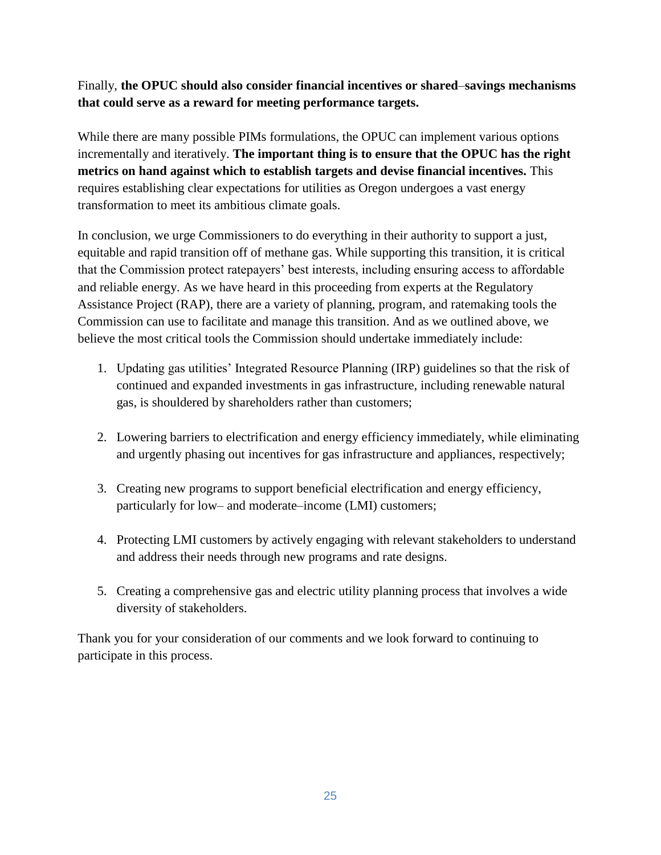## Finally, **the OPUC should also consider financial incentives or shared**–**savings mechanisms that could serve as a reward for meeting performance targets.**

While there are many possible PIMs formulations, the OPUC can implement various options incrementally and iteratively. **The important thing is to ensure that the OPUC has the right metrics on hand against which to establish targets and devise financial incentives.** This requires establishing clear expectations for utilities as Oregon undergoes a vast energy transformation to meet its ambitious climate goals.

In conclusion, we urge Commissioners to do everything in their authority to support a just, equitable and rapid transition off of methane gas. While supporting this transition, it is critical that the Commission protect ratepayers' best interests, including ensuring access to affordable and reliable energy. As we have heard in this proceeding from experts at the Regulatory Assistance Project (RAP), there are a variety of planning, program, and ratemaking tools the Commission can use to facilitate and manage this transition. And as we outlined above, we believe the most critical tools the Commission should undertake immediately include:

- 1. Updating gas utilities' Integrated Resource Planning (IRP) guidelines so that the risk of continued and expanded investments in gas infrastructure, including renewable natural gas, is shouldered by shareholders rather than customers;
- 2. Lowering barriers to electrification and energy efficiency immediately, while eliminating and urgently phasing out incentives for gas infrastructure and appliances, respectively;
- 3. Creating new programs to support beneficial electrification and energy efficiency, particularly for low– and moderate–income (LMI) customers;
- 4. Protecting LMI customers by actively engaging with relevant stakeholders to understand and address their needs through new programs and rate designs.
- 5. Creating a comprehensive gas and electric utility planning process that involves a wide diversity of stakeholders.

Thank you for your consideration of our comments and we look forward to continuing to participate in this process.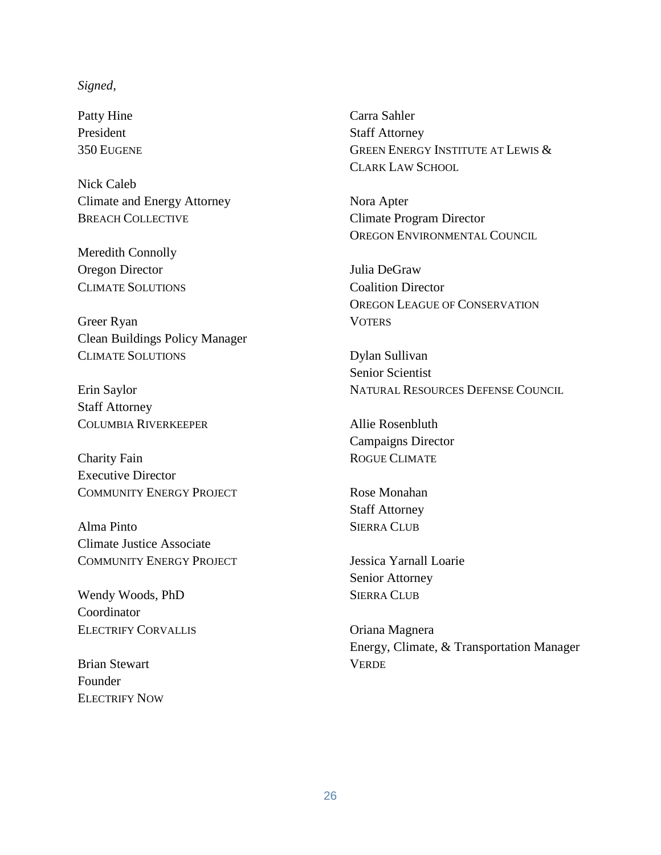#### *Signed,*

Patty Hine President 350 EUGENE

Nick Caleb Climate and Energy Attorney BREACH COLLECTIVE

Meredith Connolly Oregon Director CLIMATE SOLUTIONS

Greer Ryan Clean Buildings Policy Manager CLIMATE SOLUTIONS

Erin Saylor Staff Attorney COLUMBIA RIVERKEEPER

Charity Fain Executive Director COMMUNITY ENERGY PROJECT

Alma Pinto Climate Justice Associate COMMUNITY ENERGY PROJECT

Wendy Woods, PhD Coordinator ELECTRIFY CORVALLIS

Brian Stewart Founder ELECTRIFY NOW Carra Sahler Staff Attorney GREEN ENERGY INSTITUTE AT LEWIS & CLARK LAW SCHOOL

Nora Apter Climate Program Director OREGON ENVIRONMENTAL COUNCIL

Julia DeGraw Coalition Director OREGON LEAGUE OF CONSERVATION **VOTERS** 

Dylan Sullivan Senior Scientist NATURAL RESOURCES DEFENSE COUNCIL

Allie Rosenbluth Campaigns Director ROGUE CLIMATE

Rose Monahan Staff Attorney SIERRA CLUB

Jessica Yarnall Loarie Senior Attorney SIERRA CLUB

Oriana Magnera Energy, Climate, & Transportation Manager **VERDE**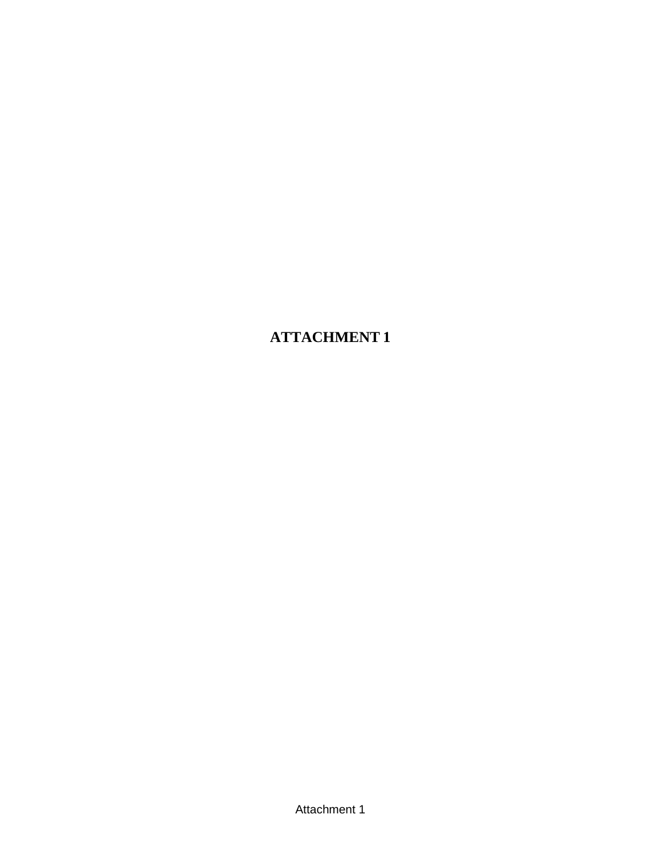**ATTACHMENT 1**

Attachment 1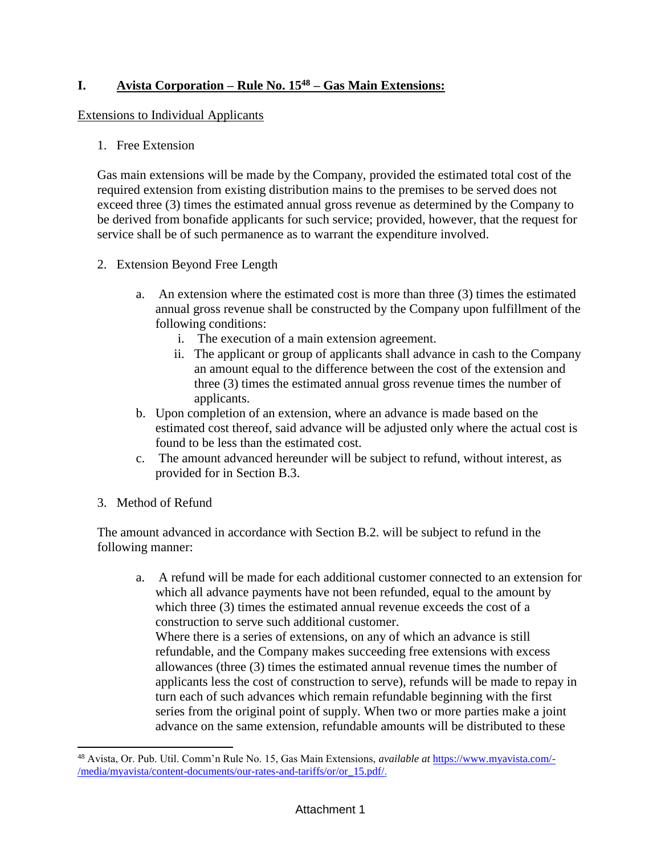## **I. Avista Corporation – Rule No. 15<sup>48</sup> – Gas Main Extensions:**

### Extensions to Individual Applicants

### 1. Free Extension

Gas main extensions will be made by the Company, provided the estimated total cost of the required extension from existing distribution mains to the premises to be served does not exceed three (3) times the estimated annual gross revenue as determined by the Company to be derived from bonafide applicants for such service; provided, however, that the request for service shall be of such permanence as to warrant the expenditure involved.

- 2. Extension Beyond Free Length
	- a. An extension where the estimated cost is more than three (3) times the estimated annual gross revenue shall be constructed by the Company upon fulfillment of the following conditions:
		- i. The execution of a main extension agreement.
		- ii. The applicant or group of applicants shall advance in cash to the Company an amount equal to the difference between the cost of the extension and three (3) times the estimated annual gross revenue times the number of applicants.
	- b. Upon completion of an extension, where an advance is made based on the estimated cost thereof, said advance will be adjusted only where the actual cost is found to be less than the estimated cost.
	- c. The amount advanced hereunder will be subject to refund, without interest, as provided for in Section B.3.
- 3. Method of Refund

 $\overline{a}$ 

The amount advanced in accordance with Section B.2. will be subject to refund in the following manner:

a. A refund will be made for each additional customer connected to an extension for which all advance payments have not been refunded, equal to the amount by which three (3) times the estimated annual revenue exceeds the cost of a construction to serve such additional customer. Where there is a series of extensions, on any of which an advance is still refundable, and the Company makes succeeding free extensions with excess allowances (three (3) times the estimated annual revenue times the number of applicants less the cost of construction to serve), refunds will be made to repay in turn each of such advances which remain refundable beginning with the first series from the original point of supply. When two or more parties make a joint advance on the same extension, refundable amounts will be distributed to these

<sup>48</sup> Avista, Or. Pub. Util. Comm'n Rule No. 15, Gas Main Extensions, *available at* [https://www.myavista.com/-](https://www.myavista.com/-/media/myavista/content-documents/our-rates-and-tariffs/or/or_15.pdf/) [/media/myavista/content-documents/our-rates-and-tariffs/or/or\\_15.pdf/.](https://www.myavista.com/-/media/myavista/content-documents/our-rates-and-tariffs/or/or_15.pdf/)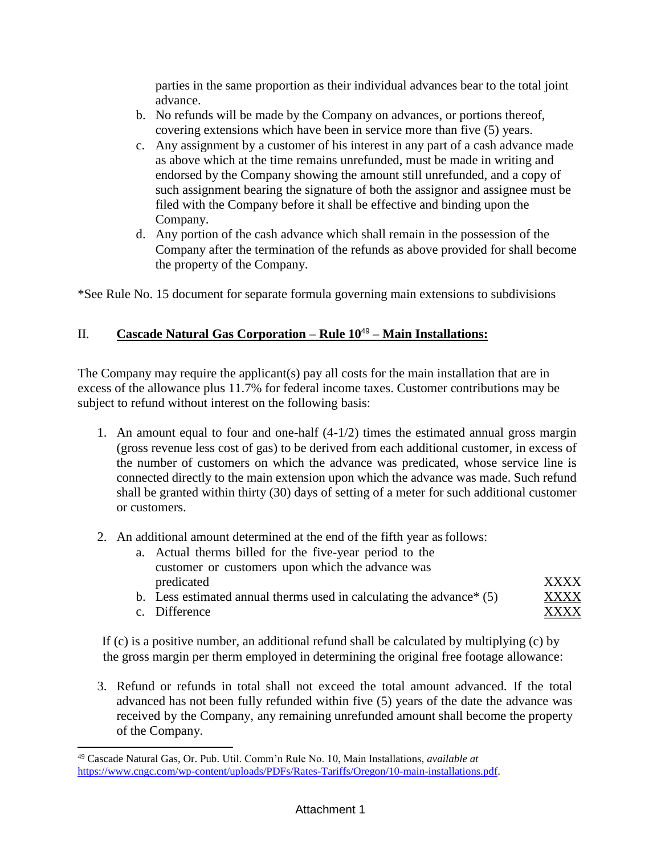parties in the same proportion as their individual advances bear to the total joint advance.

- b. No refunds will be made by the Company on advances, or portions thereof, covering extensions which have been in service more than five (5) years.
- c. Any assignment by a customer of his interest in any part of a cash advance made as above which at the time remains unrefunded, must be made in writing and endorsed by the Company showing the amount still unrefunded, and a copy of such assignment bearing the signature of both the assignor and assignee must be filed with the Company before it shall be effective and binding upon the Company.
- d. Any portion of the cash advance which shall remain in the possession of the Company after the termination of the refunds as above provided for shall become the property of the Company.

\*See Rule No. 15 document for separate formula governing main extensions to subdivisions

## II. **Cascade Natural Gas Corporation – Rule 10**<sup>49</sup> **– Main Installations:**

The Company may require the applicant(s) pay all costs for the main installation that are in excess of the allowance plus 11.7% for federal income taxes. Customer contributions may be subject to refund without interest on the following basis:

- 1. An amount equal to four and one-half (4-1/2) times the estimated annual gross margin (gross revenue less cost of gas) to be derived from each additional customer, in excess of the number of customers on which the advance was predicated, whose service line is connected directly to the main extension upon which the advance was made. Such refund shall be granted within thirty (30) days of setting of a meter for such additional customer or customers.
- 2. An additional amount determined at the end of the fifth year asfollows:
	- a. Actual therms billed for the five-year period to the customer or customers upon which the advance was predicated XXXX
	- b. Less estimated annual therms used in calculating the advance\* (5) XXXX
	- c. Difference XXXX

 $\overline{a}$ 

If (c) is a positive number, an additional refund shall be calculated by multiplying (c) by the gross margin per therm employed in determining the original free footage allowance:

3. Refund or refunds in total shall not exceed the total amount advanced. If the total advanced has not been fully refunded within five (5) years of the date the advance was received by the Company, any remaining unrefunded amount shall become the property of the Company.

<sup>49</sup> Cascade Natural Gas, Or. Pub. Util. Comm'n Rule No. 10, Main Installations, *available at*  [https://www.cngc.com/wp-content/uploads/PDFs/Rates-Tariffs/Oregon/10-main-installations.pdf.](https://www.cngc.com/wp-content/uploads/PDFs/Rates-Tariffs/Oregon/10-main-installations.pdf)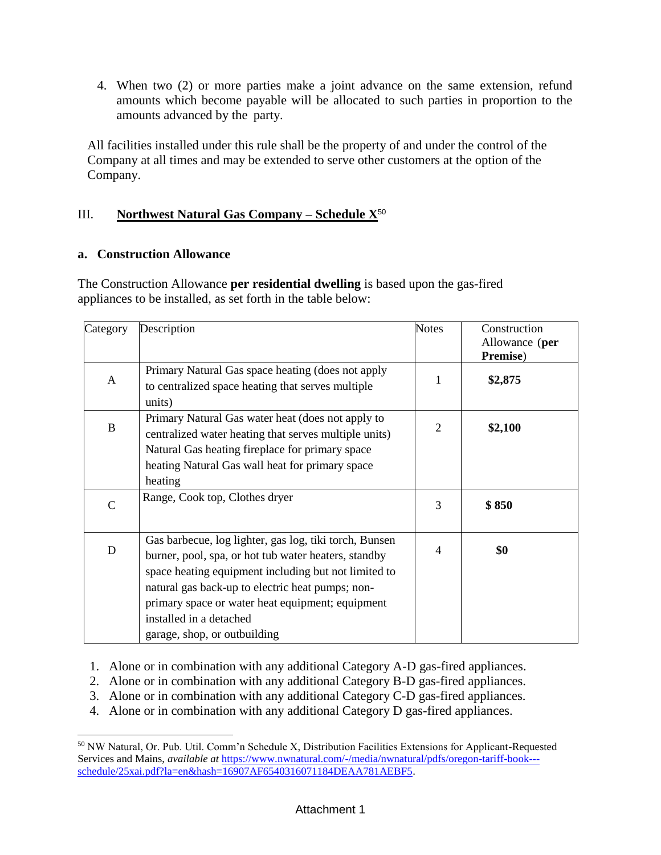4. When two (2) or more parties make a joint advance on the same extension, refund amounts which become payable will be allocated to such parties in proportion to the amounts advanced by the party.

All facilities installed under this rule shall be the property of and under the control of the Company at all times and may be extended to serve other customers at the option of the Company.

## III. **Northwest Natural Gas Company – Schedule X**<sup>50</sup>

### **a. Construction Allowance**

The Construction Allowance **per residential dwelling** is based upon the gas-fired appliances to be installed, as set forth in the table below:

| Category      | Description                                                                                                                                                                                                                                                                                                                               | <b>Notes</b>   | Construction<br>Allowance (per<br>Premise) |
|---------------|-------------------------------------------------------------------------------------------------------------------------------------------------------------------------------------------------------------------------------------------------------------------------------------------------------------------------------------------|----------------|--------------------------------------------|
| A             | Primary Natural Gas space heating (does not apply<br>to centralized space heating that serves multiple<br>units)                                                                                                                                                                                                                          | 1              | \$2,875                                    |
| B             | Primary Natural Gas water heat (does not apply to<br>centralized water heating that serves multiple units)<br>Natural Gas heating fireplace for primary space<br>heating Natural Gas wall heat for primary space<br>heating                                                                                                               | 2              | \$2,100                                    |
| $\mathcal{C}$ | Range, Cook top, Clothes dryer                                                                                                                                                                                                                                                                                                            | 3              | \$850                                      |
| $\mathbf D$   | Gas barbecue, log lighter, gas log, tiki torch, Bunsen<br>burner, pool, spa, or hot tub water heaters, standby<br>space heating equipment including but not limited to<br>natural gas back-up to electric heat pumps; non-<br>primary space or water heat equipment; equipment<br>installed in a detached<br>garage, shop, or outbuilding | $\overline{4}$ | \$0                                        |

1. Alone or in combination with any additional Category A-D gas-fired appliances.

- 2. Alone or in combination with any additional Category B-D gas-fired appliances.
- 3. Alone or in combination with any additional Category C-D gas-fired appliances.
- 4. Alone or in combination with any additional Category D gas-fired appliances.

<sup>50</sup> NW Natural, Or. Pub. Util. Comm'n Schedule X, Distribution Facilities Extensions for Applicant-Requested Services and Mains, *available at* [https://www.nwnatural.com/-/media/nwnatural/pdfs/oregon-tariff-book--](https://www.nwnatural.com/-/media/nwnatural/pdfs/oregon-tariff-book---schedule/25xai.pdf?la=en&hash=16907AF6540316071184DEAA781AEBF5) [schedule/25xai.pdf?la=en&hash=16907AF6540316071184DEAA781AEBF5.](https://www.nwnatural.com/-/media/nwnatural/pdfs/oregon-tariff-book---schedule/25xai.pdf?la=en&hash=16907AF6540316071184DEAA781AEBF5)